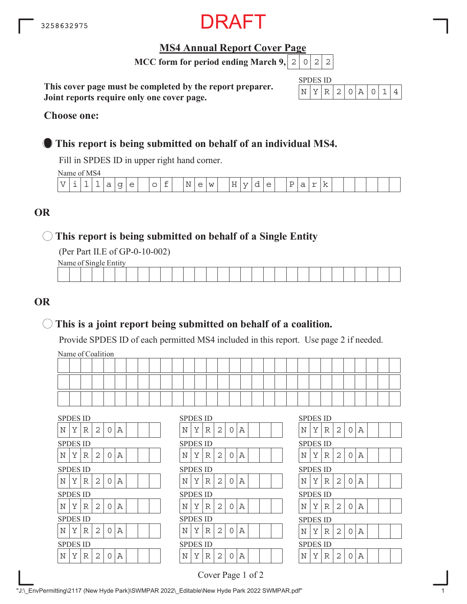

## **MS4 Annual Report Cover Page**

**MCC form for period ending March 9,**  $|2|0|2|2$ 

**This cover page must be completed by the report preparer. Joint reports require only one cover page.**

| SPDI | H١ | S 11) |               |  |  |  |
|------|----|-------|---------------|--|--|--|
|      |    |       | $\mathcal{L}$ |  |  |  |

#### **Choose one:**

# **This report is being submitted on behalf of an individual MS4.**

Fill in SPDES ID in upper right hand corner.

Name of MS4

|     | $\cdots$   |   |           |    |                          |        |   |                     |          |                  |            |                           |          |                       |                               |   |             |     |  |  |  |
|-----|------------|---|-----------|----|--------------------------|--------|---|---------------------|----------|------------------|------------|---------------------------|----------|-----------------------|-------------------------------|---|-------------|-----|--|--|--|
| T T | <b>سلس</b> | - | <b>__</b> | d. | $\overline{\phantom{0}}$ | $\sim$ | ◡ | $\sim$<br><b>__</b> | Ν<br>- - | $\triangle$<br>╰ | <b>TAT</b> | $\tau$ $\tau$<br>−<br>. . | <b>.</b> | $\triangleright$<br>ー | $\overline{\phantom{0}}$<br>ー | ີ | $\sim$<br>- | . . |  |  |  |
|     |            |   |           |    |                          |        |   |                     |          |                  |            |                           |          |                       |                               |   |             |     |  |  |  |

# **OR**

### **This report is being submitted on behalf of a Single Entity**

(Per Part II.E of GP-0-10-002)

Name of Single Entity

|  |  |  |  |  |  |  | the contract of the contract of the |  |  |  |  |  | the contract of the contract of the contract of |  |
|--|--|--|--|--|--|--|-------------------------------------|--|--|--|--|--|-------------------------------------------------|--|
|  |  |  |  |  |  |  |                                     |  |  |  |  |  |                                                 |  |

# **OR**

# **This is a joint report being submitted on behalf of a coalition.**

Provide SPDES ID of each permitted MS4 included in this report. Use page 2 if needed.

Name of Coalition

| <b>SPDES ID</b>                   | <b>SPDES ID</b>                         | <b>SPDES ID</b>            |
|-----------------------------------|-----------------------------------------|----------------------------|
| N<br>Υ<br>2<br>Α<br>R<br>∩        | Α<br>N<br>Υ<br>$\mathbf{2}$<br>R<br>0   | Υ<br>N<br>R<br>2<br>0<br>Α |
| <b>SPDES ID</b>                   | <b>SPDES ID</b>                         | <b>SPDES ID</b>            |
| Υ<br>Α<br>2<br>N<br>R<br>$\Omega$ | Υ<br>Α<br>Ν<br>$\overline{2}$<br>R<br>O | Υ<br>N<br>R<br>2<br>Α<br>0 |
| <b>SPDES ID</b>                   | <b>SPDES ID</b>                         | <b>SPDES ID</b>            |
| Υ<br>2<br>Α<br>N<br>R<br>O        | Ν<br>Υ<br>2<br>Α<br>R<br>0              | Υ<br>N<br>2<br>0<br>Α<br>R |
|                                   |                                         |                            |
| <b>SPDES ID</b>                   | <b>SPDES ID</b>                         | <b>SPDES ID</b>            |
| N<br>Υ<br>2<br>Α<br>R<br>∩        | Α<br>Ν<br>Υ<br>2<br>R<br>0              | Υ<br>N<br>R<br>2<br>0<br>Α |
| <b>SPDES ID</b>                   | <b>SPDES ID</b>                         | <b>SPDES ID</b>            |
| N<br>Υ<br>2<br>Α<br>R<br>∩        | Α<br>Ν<br>Υ<br>2<br>R<br>O              | Υ<br>N<br>R<br>2<br>Α<br>0 |
| <b>SPDES ID</b>                   | <b>SPDES ID</b>                         | <b>SPDES ID</b>            |

Cover Page 1 of 2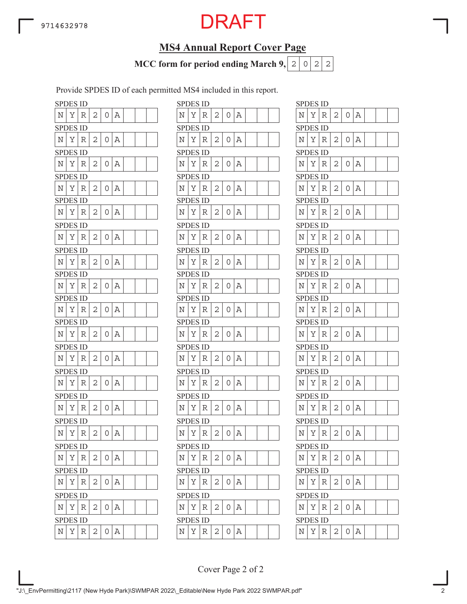# **MS4 Annual Report Cover Page**

**MCC form for period ending March 9,**  $|2|0|2|2$ 

Provide SPDES ID of each permitted MS4 included in this report.

| <b>SPDES ID</b>    |          |   |   |   |   |                    | <b>SPDES ID</b> |   |
|--------------------|----------|---|---|---|---|--------------------|-----------------|---|
| N                  | Υ        | R | 2 | 0 | Α | Ν                  | Υ               | R |
| <b>SPDES ID</b>    |          |   |   |   |   |                    | <b>SPDES ID</b> |   |
| N                  | Υ        | R | 2 | 0 | Α | N                  | Υ               | R |
| SPDES ID           |          |   |   |   |   |                    | <b>SPDES ID</b> |   |
| N                  | Υ        | R | 2 | 0 | Α | N                  | Υ               | R |
| <b>SPDES ID</b>    |          |   |   |   |   |                    | <b>SPDES ID</b> |   |
| N                  | Υ        | R | 2 | 0 | Α | Ν                  | Υ               | R |
| <b>SPDES ID</b>    |          |   |   |   |   |                    | <b>SPDES ID</b> |   |
| Ν                  | Υ        | R | 2 | 0 | Α | N                  | Υ               | R |
| <b>SPDES ID</b>    |          |   |   |   |   |                    | <b>SPDES ID</b> |   |
| N                  | Υ        | R | 2 | 0 | Α | N                  | Υ               | R |
| <b>SPDES ID</b>    |          |   |   |   |   |                    | <b>SPDES ID</b> |   |
| N                  | Υ        | R | 2 | 0 | Α | N                  | Υ               | R |
| <b>SPDES ID</b>    |          |   |   |   |   |                    | <b>SPDES ID</b> |   |
| N                  | Υ        | R | 2 | 0 | Α | N                  | Υ               | R |
| <b>SPDES ID</b>    |          |   |   |   |   |                    | <b>SPDES ID</b> |   |
| N                  | Υ        | R | 2 | 0 | Α | N                  | Υ               | R |
| <b>SPDES ID</b>    |          |   |   |   |   |                    | SPDES ID        |   |
| N                  | Υ        | R | 2 | 0 | Α | Ν                  | Υ               | R |
| <b>SPDES ID</b>    |          |   |   |   |   |                    | <b>SPDES ID</b> |   |
| Ν                  | Υ        | R | 2 | 0 | Α | Ν                  | Υ               | R |
| <b>SPDES ID</b>    |          |   |   |   |   |                    | <b>SPDES ID</b> |   |
| N                  | Υ        | R | 2 | 0 | Α | N                  | Υ               | R |
|                    | SPDES ID |   |   |   |   |                    | SPDES ID        |   |
| Ν                  | Υ        | R | 2 | 0 | Α | Ν                  | Υ               | R |
| <b>SPI</b>         | DES ID   |   |   |   |   |                    | SPDES ID        |   |
| N                  | Υ        | R | 2 | 0 | Α | $\overline{\rm N}$ | Υ               | R |
| <b>SPDES ID</b>    |          |   |   |   |   |                    | <b>SPDES ID</b> |   |
| $\overline{\rm N}$ | Υ        | R | 2 | 0 | Α | Ν                  | Υ               | R |
| <b>SPDES ID</b>    |          |   |   |   |   |                    | <b>SPDES ID</b> |   |
| Ν                  | Υ        | R | 2 | 0 | Α | N                  | Υ               | R |
| <b>SPDES ID</b>    |          |   |   |   |   |                    | <b>SPDES ID</b> |   |
| N                  | Υ        | R | 2 | 0 | Α | N                  | Y               | R |
| <b>SPDES ID</b>    |          |   |   |   |   |                    | <b>SPDES ID</b> |   |
| N                  | Υ        | R | 2 | 0 | A | $\overline{\rm N}$ | Υ               | R |

|             | <b>SPDES ID</b> |             |   |                |   |  |  |             | <b>SPDES ID</b> |             |              |   |   |  |  | <b>SPDES ID</b> |   |             |   |                |             |
|-------------|-----------------|-------------|---|----------------|---|--|--|-------------|-----------------|-------------|--------------|---|---|--|--|-----------------|---|-------------|---|----------------|-------------|
| Ν           | Υ               | R           | 2 | 0              | Α |  |  | Ν           | Υ               | R           | 2            | 0 | Α |  |  | Ν               | Υ | R           | 2 | $\overline{O}$ | $\Delta$    |
|             | <b>SPDES ID</b> |             |   |                |   |  |  |             | <b>SPDES ID</b> |             |              |   |   |  |  | <b>SPDES ID</b> |   |             |   |                |             |
| Ν           | Υ               | R           | 2 | 0              | Α |  |  | Ν           | Υ               | R           | 2            | 0 | Α |  |  | Ν               | Υ | R           | 2 | $\overline{O}$ | А           |
|             | SPDES ID        |             |   |                |   |  |  |             | <b>SPDES ID</b> |             |              |   |   |  |  | <b>SPDES ID</b> |   |             |   |                |             |
| Ν           | Υ               | R           | 2 | 0              | Α |  |  | N           | Υ               | R           | 2            | 0 | Α |  |  | Ν               | Υ | R           | 2 | 0              | Α           |
|             | <b>SPDES ID</b> |             |   |                |   |  |  |             | <b>SPDES ID</b> |             |              |   |   |  |  | <b>SPDES ID</b> |   |             |   |                |             |
| N           | Υ               | $\mathbb R$ | 2 | 0              | Α |  |  | Ν           | Y               | R           | 2            | 0 | Α |  |  | N               | Υ | R           | 2 | $0 \mid A$     |             |
|             | SPDES ID        |             |   |                |   |  |  |             | <b>SPDES ID</b> |             |              |   |   |  |  | <b>SPDES ID</b> |   |             |   |                |             |
| N           | Υ               | R           | 2 | 0              | Α |  |  | N           | Υ               | R           | 2            | 0 | Α |  |  | N               | Υ | R           | 2 | 0              | Α           |
|             | SPDES ID        |             |   |                |   |  |  |             | <b>SPDES ID</b> |             |              |   |   |  |  | <b>SPDES ID</b> |   |             |   |                |             |
| Ν           | Υ               | R           | 2 | 0              | А |  |  | N           | Υ               | R           | 2            | 0 | Α |  |  | Ν               | Υ | R           | 2 | 0              | Α           |
|             | <b>SPDES ID</b> |             |   |                |   |  |  |             | <b>SPDES ID</b> |             |              |   |   |  |  | <b>SPDES ID</b> |   |             |   |                |             |
| N           | Υ               | R           | 2 | 0              | Α |  |  | Ν           | Y               | R           | 2            | 0 | Α |  |  | Ν               | Υ | R           | 2 | $0 \mid A$     |             |
|             | <b>SPDES ID</b> |             |   |                |   |  |  |             | <b>SPDES ID</b> |             |              |   |   |  |  | <b>SPDES ID</b> |   |             |   |                |             |
| N           | Υ               | R           | 2 | 0              | Α |  |  | Ν           | Υ               | R           | 2            | 0 | Α |  |  | Ν               | Y | R           | 2 | O              | А           |
|             | <b>SPDES ID</b> |             |   |                |   |  |  |             | <b>SPDES ID</b> |             |              |   |   |  |  | <b>SPDES ID</b> |   |             |   |                |             |
| Ν           | Υ               | R           | 2 | 0              | Α |  |  | Ν           | Υ               | R           | 2            | 0 | Α |  |  | N               | Υ | R           | 2 | 0              | Α           |
|             | <b>SPDES ID</b> |             |   |                |   |  |  |             | <b>SPDES ID</b> |             |              |   |   |  |  | <b>SPDES ID</b> |   |             |   |                |             |
| Ν           | Υ               | R           | 2 | $\Omega$       | Α |  |  | N           | Y               | R           | 2            | 0 | Α |  |  | N               | Υ | R           | 2 | $\overline{O}$ | А           |
|             | SPDES ID        |             |   |                |   |  |  |             | <b>SPDES ID</b> |             |              |   |   |  |  | <b>SPDES ID</b> |   |             |   |                |             |
| N           | Υ               | R           | 2 | 0              | Α |  |  | Ν           | Υ               | R           | 2            | 0 | Α |  |  | N               | Υ | R           | 2 | 0              | $\mathbb A$ |
|             | <b>SPDES ID</b> |             |   |                |   |  |  |             | <b>SPDES ID</b> |             |              |   |   |  |  | <b>SPDES ID</b> |   |             |   |                |             |
| N           | Υ               | R           | 2 | 0              | Α |  |  | Ν           | Υ               | R           | $\mathbf{2}$ | 0 | Α |  |  | Ν               | Υ | R           | 2 | 0              | Α           |
|             | <b>SPDES ID</b> |             |   |                |   |  |  |             | <b>SPDES ID</b> |             |              |   |   |  |  | <b>SPDES ID</b> |   |             |   |                |             |
| N           | Υ               | $\mathbb R$ | 2 | 0              | Α |  |  | Ν           | Υ               | R           | 2            | 0 | Α |  |  | N               | Υ | R           | 2 | $0 \mid A$     |             |
|             | <b>SPDES ID</b> |             |   |                |   |  |  |             | <b>SPDES ID</b> |             |              |   |   |  |  | <b>SPDES ID</b> |   |             |   |                |             |
| Ν           | Y               | R           | 2 | 0              | Α |  |  | N           | Υ               | R           | 2            | 0 | Α |  |  | N               | Υ | R           | 2 | 0              | А           |
|             | <b>SPDES ID</b> |             |   |                |   |  |  |             | <b>SPDES ID</b> |             |              |   |   |  |  | <b>SPDES ID</b> |   |             |   |                |             |
| N           | Y               | $\mathbb R$ | 2 | 0 <sup>1</sup> | Α |  |  | $\rm N$     | Y               | $\mathbb R$ | 2            | 0 | A |  |  | Ν               | Υ | R           | 2 | 0              | Α           |
|             | <b>SPDES ID</b> |             |   |                |   |  |  |             | <b>SPDES ID</b> |             |              |   |   |  |  | <b>SPDES ID</b> |   |             |   |                |             |
| Ν           | Υ               | R           | 2 | 0              | Α |  |  | Ν           | Υ               | R           | 2            | 0 | Α |  |  | $\rm N$         | Υ | R           | 2 | 0              | Α           |
|             | <b>SPDES ID</b> |             |   |                |   |  |  |             | <b>SPDES ID</b> |             |              |   |   |  |  | <b>SPDES ID</b> |   |             |   |                |             |
| Ν           | Υ               | R           | 2 | 0              | Α |  |  | Ν           | Υ               | $\mathbb R$ | 2            | 0 | Α |  |  | $\mathbb N$     | Υ | R           | 2 | 0              | Α           |
|             | <b>SPDES ID</b> |             |   |                |   |  |  |             | <b>SPDES ID</b> |             |              |   |   |  |  | <b>SPDES ID</b> |   |             |   |                |             |
| $\mathbf N$ | Y               | R           | 2 | 0              | Α |  |  | $\mathbf N$ | Y               | $\mathbb R$ | $\mathbf{2}$ | 0 | Α |  |  | $\mathbb N$     | Υ | $\mathbb R$ | 2 | 0              | Α           |

|             | SPDES ID        |     |                |   |   |  |  |
|-------------|-----------------|-----|----------------|---|---|--|--|
| Ν           | Υ               | R   | $\overline{c}$ | 0 | Α |  |  |
|             | SPDES           | ID  |                |   |   |  |  |
| N           | Υ               | R   | 2              | 0 | Α |  |  |
|             | SPDES ID        |     |                |   |   |  |  |
| N           | Υ               | R   | 2              | 0 | А |  |  |
|             | <b>SPDES ID</b> |     |                |   |   |  |  |
| N           | Υ               | R   | $\overline{c}$ | 0 | Α |  |  |
|             | <b>SPDES</b>    | ID. |                |   |   |  |  |
| N           | Υ               | R   | 2              | 0 | Α |  |  |
|             | SPDES           | ID  |                |   |   |  |  |
| N           | Υ               | R   | 2              | 0 | А |  |  |
|             | <b>SPDES ID</b> |     |                |   |   |  |  |
| Ν           | Υ               | R   | $\overline{c}$ | 0 | A |  |  |
|             | SPDES           | ID  |                |   |   |  |  |
| Ν           | Υ               | R   | 2              | 0 | Α |  |  |
|             | SPDES           | ID  |                |   |   |  |  |
| N           | Y               | R   | 2              | 0 | А |  |  |
|             | SPDES           | ID  |                |   |   |  |  |
| N           | Υ               | R   | $\overline{c}$ | 0 | А |  |  |
|             | SPDES ID        |     |                |   |   |  |  |
| N           | Υ               | R   | 2              | 0 | Α |  |  |
|             | SPDES           | ID  |                |   |   |  |  |
| Ν           | Υ               | R   | 2              | 0 | Α |  |  |
|             | <b>SPDES ID</b> |     |                |   |   |  |  |
| Ν           | Υ               | R   | $\overline{2}$ | 0 | Α |  |  |
|             | <b>SPDES ID</b> |     |                |   |   |  |  |
| $\mathbb N$ | Υ               | R   | 2              | 0 | А |  |  |
|             | <b>SPDES ID</b> |     |                |   |   |  |  |
| N           | Υ               | R   | $\mathbf{2}$   | 0 | Α |  |  |
|             | SPDES ID        |     |                |   |   |  |  |
|             | Υ               | R   | 2              | 0 | Α |  |  |
| N           |                 |     |                |   |   |  |  |
|             | SPDES           | ID  |                |   |   |  |  |
| Ν           | Υ               | R   | 2              | 0 | А |  |  |
|             | SPDES           | ID  |                |   |   |  |  |
| N           | Υ               | R   | $\overline{c}$ | 0 | Α |  |  |

Cover Page 2 of 2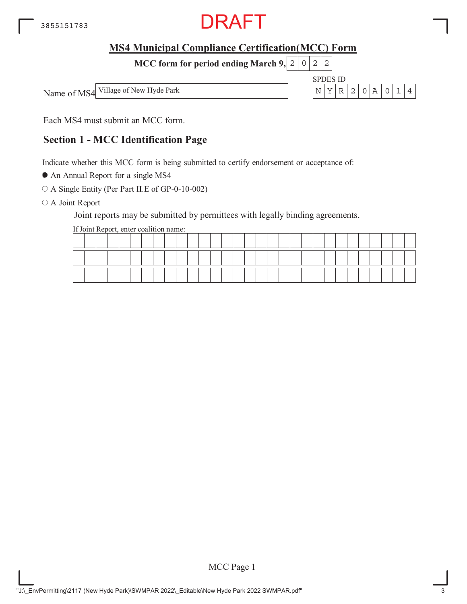

SPDES ID

**MCC form for period ending March 9, 2 0 2 2** 

Name of MS4 Village of New Hyde Park  $\vert N \vert Y \vert R \vert 2 \vert 0 \vert A \vert 0 \vert 1 \vert 4$ 

Each MS4 must submit an MCC form.

## **Section 1 - MCC Identification Page**

Indicate whether this MCC form is being submitted to certify endorsement or acceptance of:

An Annual Report for a single MS4

A Single Entity (Per Part II.E of GP-0-10-002)

O A Joint Report

Joint reports may be submitted by permittees with legally binding agreements.

If Joint Report, enter coalition name:

|  |  |    |  |  |  |  |  |  |  |  |  |  |  | __ |  |
|--|--|----|--|--|--|--|--|--|--|--|--|--|--|----|--|
|  |  | -- |  |  |  |  |  |  |  |  |  |  |  |    |  |

MCC Page 1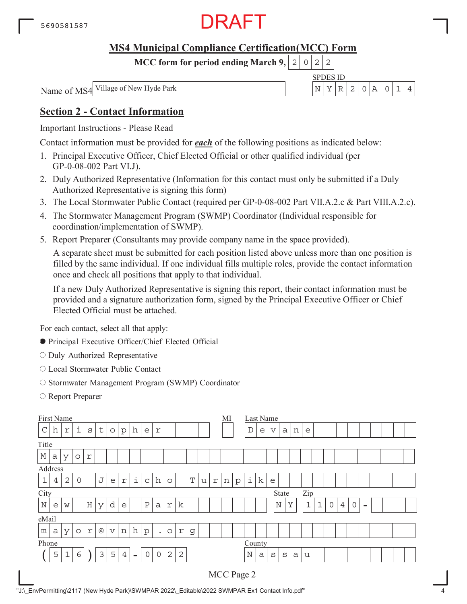

**MCC form for period ending March 9,**  $0|2|2$ 

#### SPDES ID Name of MS4 Village of New Hyde Park  $\vert N \vert Y \vert R \vert 2 \vert 0 \vert A \vert 0 \vert 1 \vert 4$

### **Section 2 - Contact Information**

Important Instructions - Please Read

Contact information must be provided for *each* of the following positions as indicated below:

- 1. Principal Executive Officer, Chief Elected Official or other qualified individual (per GP-0-08-002 Part VI.J).
- 2. Duly Authorized Representative (Information for this contact must only be submitted if a Duly Authorized Representative is signing this form)
- 3. The Local Stormwater Public Contact (required per GP-0-08-002 Part VII.A.2.c & Part VIII.A.2.c).
- 4. The Stormwater Management Program (SWMP) Coordinator (Individual responsible for coordination/implementation of SWMP).
- 5. Report Preparer (Consultants may provide company name in the space provided).

A separate sheet must be submitted for each position listed above unless more than one position is filled by the same individual. If one individual fills multiple roles, provide the contact information once and check all positions that apply to that individual.

If a new Duly Authorized Representative is signing this report, their contact information must be provided and a signature authorization form, signed by the Principal Executive Officer or Chief Elected Official must be attached.

For each contact, select all that apply:

- Principal Executive Officer/Chief Elected Official
- O Duly Authorized Representative
- Local Stormwater Public Contact
- O Stormwater Management Program (SWMP) Coordinator
- Report Preparer

| First Name  |   |                |         |         |                 |             |                |          |              |             |                |             |             |   |   | МI |         | Last Name           |   |              |       |   |              |              |             |                |             |          |  |  |
|-------------|---|----------------|---------|---------|-----------------|-------------|----------------|----------|--------------|-------------|----------------|-------------|-------------|---|---|----|---------|---------------------|---|--------------|-------|---|--------------|--------------|-------------|----------------|-------------|----------|--|--|
| $\mathsf C$ | h | r              | i       | S       | t               | $\circ$     | p              | h        | e            | r           |                |             |             |   |   |    |         | $\mathbb D$         | e | $\mathbf v$  | a     | n | e            |              |             |                |             |          |  |  |
| Title       |   |                |         |         |                 |             |                |          |              |             |                |             |             |   |   |    |         |                     |   |              |       |   |              |              |             |                |             |          |  |  |
| $\mathbb M$ | a | У              | $\circ$ | r       |                 |             |                |          |              |             |                |             |             |   |   |    |         |                     |   |              |       |   |              |              |             |                |             |          |  |  |
| Address     |   |                |         |         |                 |             |                |          |              |             |                |             |             |   |   |    |         |                     |   |              |       |   |              |              |             |                |             |          |  |  |
| $1\,$       | 4 | $\overline{2}$ | 0       |         | J               | e           | $\Upsilon$     | i        | $\mathsf{C}$ | h           | $\circ$        |             | $\mathbf T$ | u | r | n  | $\rm p$ | $\dot{\mathbbm{1}}$ | k | e            |       |   |              |              |             |                |             |          |  |  |
| City        |   |                |         |         |                 |             |                |          |              |             |                |             |             |   |   |    |         |                     |   |              | State |   | Zip          |              |             |                |             |          |  |  |
| $\mathbf N$ | e | W              |         | $\rm H$ | У               | d           | e              |          | $\, {\bf P}$ | a           | r              | $\mathbf k$ |             |   |   |    |         |                     |   | $\mathbb N$  |       | Y | $\mathbf{1}$ | $\mathbf{1}$ | $\mathbf 0$ | $\overline{4}$ | $\mathbf 0$ | $\equiv$ |  |  |
| eMail       |   |                |         |         |                 |             |                |          |              |             |                |             |             |   |   |    |         |                     |   |              |       |   |              |              |             |                |             |          |  |  |
| m           | a | У              | $\circ$ | r       | $^{\copyright}$ | $\mathbf v$ | n              | h        | p            | $\bullet$   | $\circ$        | $\Upsilon$  | g           |   |   |    |         |                     |   |              |       |   |              |              |             |                |             |          |  |  |
| Phone       |   |                |         |         |                 |             |                |          |              |             |                |             |             |   |   |    |         | County              |   |              |       |   |              |              |             |                |             |          |  |  |
|             | 5 | $\mathbf 1$    | 6       |         | 3               | 5           | $\overline{4}$ | $\equiv$ | $\mathbf 0$  | $\mathbf 0$ | $\overline{2}$ | $\sqrt{2}$  |             |   |   |    |         | $\mathbf N$         | a | $\mathtt{s}$ | S     | a | u            |              |             |                |             |          |  |  |
|             |   |                |         |         |                 |             |                |          |              |             |                |             |             |   |   |    |         | MCC Page 2          |   |              |       |   |              |              |             |                |             |          |  |  |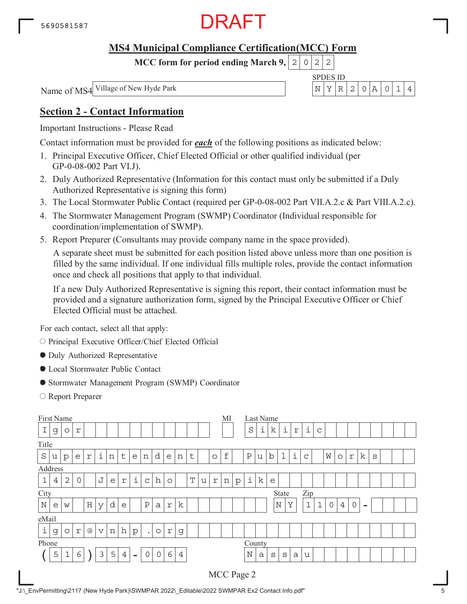

**MCC form for period ending March 9,**  $0|2|2$ 

Name of MS4 Village of New Hyde Park  $\vert N \vert Y \vert R \vert 2 \vert 0 \vert A \vert 0 \vert 1 \vert 4$ 

# SPDES ID

### **Section 2 - Contact Information**

Important Instructions - Please Read

Contact information must be provided for *each* of the following positions as indicated below:

- 1. Principal Executive Officer, Chief Elected Official or other qualified individual (per GP-0-08-002 Part VI.J).
- 2. Duly Authorized Representative (Information for this contact must only be submitted if a Duly Authorized Representative is signing this form)
- 3. The Local Stormwater Public Contact (required per GP-0-08-002 Part VII.A.2.c & Part VIII.A.2.c).
- 4. The Stormwater Management Program (SWMP) Coordinator (Individual responsible for coordination/implementation of SWMP).
- 5. Report Preparer (Consultants may provide company name in the space provided).

A separate sheet must be submitted for each position listed above unless more than one position is filled by the same individual. If one individual fills multiple roles, provide the contact information once and check all positions that apply to that individual.

If a new Duly Authorized Representative is signing this report, their contact information must be provided and a signature authorization form, signed by the Principal Executive Officer or Chief Elected Official must be attached.

For each contact, select all that apply:

O Principal Executive Officer/Chief Elected Official

- Duly Authorized Representative
- Local Stormwater Public Contact
- Stormwater Management Program (SWMP) Coordinator
- Report Preparer

|             |                                                                                                                                    | First Name  |                           |         |                         |   |                |        |              |              |             |                  |  |  |  | MI        |         |              |   | Last Name   |             |   |              |              |             |                |         |          |   |  |  |
|-------------|------------------------------------------------------------------------------------------------------------------------------------|-------------|---------------------------|---------|-------------------------|---|----------------|--------|--------------|--------------|-------------|------------------|--|--|--|-----------|---------|--------------|---|-------------|-------------|---|--------------|--------------|-------------|----------------|---------|----------|---|--|--|
|             | g                                                                                                                                  | $\circ$     | $\Upsilon$                |         |                         |   |                |        |              |              |             |                  |  |  |  |           |         | $\rm S$      | i | k           | i           | r | i            | $\mathsf{C}$ |             |                |         |          |   |  |  |
| Title       |                                                                                                                                    |             |                           |         |                         |   |                |        |              |              |             |                  |  |  |  |           |         |              |   |             |             |   |              |              |             |                |         |          |   |  |  |
| $\rm S$     | i<br>d<br>$\mathsf t$<br>t<br>e<br>n<br>$\Upsilon$<br>e<br>n<br>$\circ$<br>e<br>$\rm p$<br>n<br>u                                  |             |                           |         |                         |   |                |        |              |              |             |                  |  |  |  | $\pounds$ |         | $\, {\bf P}$ | u | $\mathbf b$ | $\mathbf 1$ | i | $\mathsf C$  |              | W           | $\circ$        | r       | k        | S |  |  |
|             |                                                                                                                                    |             |                           |         |                         |   |                |        |              |              |             |                  |  |  |  |           |         |              |   |             |             |   |              |              |             |                |         |          |   |  |  |
| $\mathbf 1$ | Address<br>i<br>J<br>$\mathbf T$<br>$\overline{2}$<br>h<br>0<br>4<br>$\Upsilon$<br>$\Upsilon$<br>e<br>$\mathsf{C}$<br>$\circ$<br>u |             |                           |         |                         |   |                |        |              |              |             |                  |  |  |  | n         | $\rm p$ | i            | k | e           |             |   |              |              |             |                |         |          |   |  |  |
| City        |                                                                                                                                    |             |                           |         |                         |   |                |        |              |              |             |                  |  |  |  |           |         |              |   |             | State       |   | Zip          |              |             |                |         |          |   |  |  |
| $\mathbb N$ | e                                                                                                                                  | W           |                           | $\rm H$ | У                       | d | e              |        | $\, {\bf P}$ | $\mathsf{a}$ | $\mathbf r$ | k                |  |  |  |           |         |              |   |             | $\mathbb N$ | Υ | $\mathbf{1}$ | $\mathbf{1}$ | $\mathbf 0$ | $\overline{4}$ | $\circ$ | $\equiv$ |   |  |  |
| eMail       |                                                                                                                                    |             |                           |         |                         |   |                |        |              |              |             |                  |  |  |  |           |         |              |   |             |             |   |              |              |             |                |         |          |   |  |  |
| i           | g                                                                                                                                  | $\circ$     | $\ensuremath{\mathbf{r}}$ | $@$     | $\overline{\mathsf{V}}$ | n | h              | p      | $\bullet$    | $\circ$      | $\Upsilon$  | g                |  |  |  |           |         |              |   |             |             |   |              |              |             |                |         |          |   |  |  |
| Phone       |                                                                                                                                    |             |                           |         |                         |   |                |        |              |              |             |                  |  |  |  |           |         | County       |   |             |             |   |              |              |             |                |         |          |   |  |  |
|             | 5                                                                                                                                  | $\mathbf 1$ | 6                         |         | 3                       | 5 | $\overline{4}$ | $\sim$ | $\mathbf 0$  | $\circ$      | 6           | $\ensuremath{4}$ |  |  |  |           |         | $\mathbb N$  | a | S           | S           | a | u            |              |             |                |         |          |   |  |  |
|             |                                                                                                                                    |             |                           |         |                         |   |                |        |              |              |             |                  |  |  |  |           |         | MCC Page 2   |   |             |             |   |              |              |             |                |         |          |   |  |  |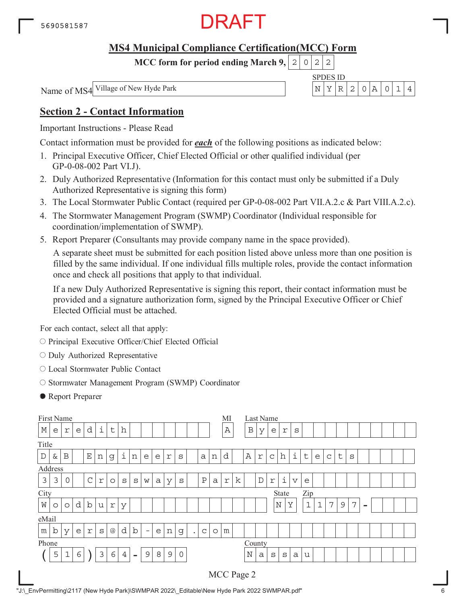

**MCC form for period ending March 9,**  $0|2|2$ 

#### SPDES ID Name of MS4 Village of New Hyde Park  $\vert N \vert Y \vert R \vert 2 \vert 0 \vert A \vert 0 \vert 1 \vert 4$

### **Section 2 - Contact Information**

Important Instructions - Please Read

Contact information must be provided for *each* of the following positions as indicated below:

- 1. Principal Executive Officer, Chief Elected Official or other qualified individual (per GP-0-08-002 Part VI.J).
- 2. Duly Authorized Representative (Information for this contact must only be submitted if a Duly Authorized Representative is signing this form)
- 3. The Local Stormwater Public Contact (required per GP-0-08-002 Part VII.A.2.c & Part VIII.A.2.c).
- 4. The Stormwater Management Program (SWMP) Coordinator (Individual responsible for coordination/implementation of SWMP).
- 5. Report Preparer (Consultants may provide company name in the space provided).

A separate sheet must be submitted for each position listed above unless more than one position is filled by the same individual. If one individual fills multiple roles, provide the contact information once and check all positions that apply to that individual.

If a new Duly Authorized Representative is signing this report, their contact information must be provided and a signature authorization form, signed by the Principal Executive Officer or Chief Elected Official must be attached.

For each contact, select all that apply:

- O Principal Executive Officer/Chief Elected Official
- $\circ$  Duly Authorized Representative
- Local Stormwater Public Contact
- O Stormwater Management Program (SWMP) Coordinator
- Report Preparer

| First Name  |                                                                                                                         |             |   |             |   |                 |                |                          |                          |   |                |              |           |   |         | MI           |   |              | Last Name   |              |                           |                 |              |             |             |             |                |                          |  |  |
|-------------|-------------------------------------------------------------------------------------------------------------------------|-------------|---|-------------|---|-----------------|----------------|--------------------------|--------------------------|---|----------------|--------------|-----------|---|---------|--------------|---|--------------|-------------|--------------|---------------------------|-----------------|--------------|-------------|-------------|-------------|----------------|--------------------------|--|--|
| $\mathbb M$ | е                                                                                                                       | r           | e | d           | i | $\sf t$         | h              |                          |                          |   |                |              |           |   |         | $\, {\bf A}$ |   | $\, {\bf B}$ | У           | e            | $\Upsilon$                | S               |              |             |             |             |                |                          |  |  |
| Title       |                                                                                                                         |             |   |             |   |                 |                |                          |                          |   |                |              |           |   |         |              |   |              |             |              |                           |                 |              |             |             |             |                |                          |  |  |
| $\mathbb D$ | $\dot{1}$<br>$\mathbf E$<br>B<br>&<br>n<br>n<br>e<br>a<br>g<br>e<br>r<br>S<br>n                                         |             |   |             |   |                 |                |                          |                          |   |                |              |           |   |         | d            |   | Α            | r           | $\mathsf{C}$ | $\boldsymbol{\mathrm{h}}$ | i               | t            | e           | $\mathsf C$ | $\mathsf t$ | S              |                          |  |  |
|             |                                                                                                                         |             |   |             |   |                 |                |                          |                          |   |                |              |           |   |         |              |   |              |             |              |                           |                 |              |             |             |             |                |                          |  |  |
| 3           | Address<br>$\mathsf C$<br>$\, {\bf P}$<br>3<br>0<br>$\Upsilon$<br>$\mathsf{a}$<br>S<br>У<br>S<br>S<br>a<br>$\circ$<br>W |             |   |             |   |                 |                |                          |                          |   |                |              |           |   |         | $\Upsilon$   | k |              | $\mathbb D$ | $\mathbf r$  | i                         | $\triangledown$ | e            |             |             |             |                |                          |  |  |
| City        |                                                                                                                         |             |   |             |   |                 |                |                          |                          |   |                |              |           |   |         |              |   |              |             |              | State                     |                 | Zip          |             |             |             |                |                          |  |  |
| W           | O                                                                                                                       | $\circ$     | d | $\mathbf b$ | u | $\Upsilon$      | У              |                          |                          |   |                |              |           |   |         |              |   |              |             |              | $\mathbb N$               | Y               | $\mathbf{1}$ | $\mathbf 1$ | 7           | $\mathsf 9$ | $\overline{7}$ | $\overline{\phantom{a}}$ |  |  |
| eMail       |                                                                                                                         |             |   |             |   |                 |                |                          |                          |   |                |              |           |   |         |              |   |              |             |              |                           |                 |              |             |             |             |                |                          |  |  |
| m           | $\mathbf b$                                                                                                             | У           | e | r           | S | $^{\copyright}$ | d              | b                        | $\overline{\phantom{m}}$ | e | n              | g            | $\bullet$ | C | $\circ$ | m            |   |              |             |              |                           |                 |              |             |             |             |                |                          |  |  |
| Phone       |                                                                                                                         |             |   |             |   |                 |                |                          |                          |   |                |              |           |   |         |              |   | County       |             |              |                           |                 |              |             |             |             |                |                          |  |  |
|             | 5                                                                                                                       | $\mathbf 1$ | 6 |             | 3 | 6               | $\overline{4}$ | $\overline{\phantom{a}}$ | 9                        | 8 | $\overline{9}$ | $\mathsf{O}$ |           |   |         |              |   | $\mathbb N$  | a           | $\mathtt{s}$ | S                         | a               | u            |             |             |             |                |                          |  |  |
|             |                                                                                                                         |             |   |             |   |                 |                |                          |                          |   |                |              |           |   |         |              |   | MCC Page 2   |             |              |                           |                 |              |             |             |             |                |                          |  |  |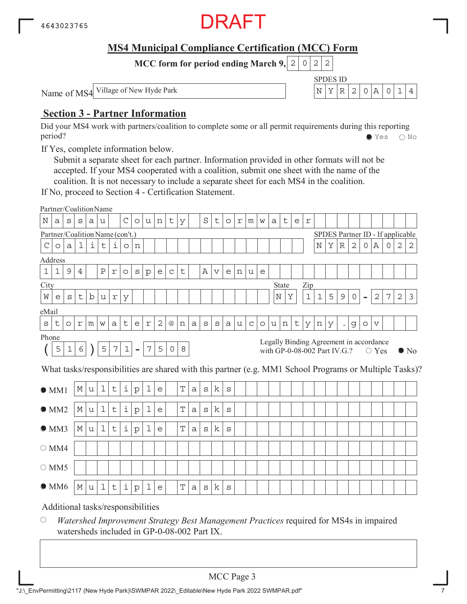

SPDES ID

**MCC form for period ending March 9, 2 0 2 2** 

Name of MS4 Village of New Hyde Park  $\left| N \right| X \left| R \right| 2 \left| 0 \right| A \left| 0 \right| 1 \left| 4 \right|$ 

### **Section 3 - Partner Information**

Did your MS4 work with partners/coalition to complete some or all permit requirements during this reporting period? Yes No

If Yes, complete information below.

Submit a separate sheet for each partner. Information provided in other formats will not be accepted. If your MS4 cooperated with a coalition, submit one sheet with the name of the coalition. It is not necessary to include a separate sheet for each MS4 in the coalition.

If No, proceed to Section 4 - Certification Statement.

|                                                                                                                                                                                                                                           | Partner/CoalitionName             |              |   |             |             |                |             |              |                |                |             |             |              |              |                 |              |   |             |         |   |        |   |             |             |                                  |                      |                |                |              |             |   |                                                                                                        |
|-------------------------------------------------------------------------------------------------------------------------------------------------------------------------------------------------------------------------------------------|-----------------------------------|--------------|---|-------------|-------------|----------------|-------------|--------------|----------------|----------------|-------------|-------------|--------------|--------------|-----------------|--------------|---|-------------|---------|---|--------|---|-------------|-------------|----------------------------------|----------------------|----------------|----------------|--------------|-------------|---|--------------------------------------------------------------------------------------------------------|
| Ν                                                                                                                                                                                                                                         | а                                 | S            | S | а           | u           |                | $\mathsf C$ | $\circ$      | u              | n              | t           | У           |              | $\rm S$      | t               | $\circ$      | r | m           | W       | а | t      | e | $\mathbf r$ |             |                                  |                      |                |                |              |             |   |                                                                                                        |
|                                                                                                                                                                                                                                           | Partner/Coalition Name (con't.)   |              |   |             |             |                |             |              |                |                |             |             |              |              |                 |              |   |             |         |   |        |   |             |             | SPDES Partner ID - If applicable |                      |                |                |              |             |   |                                                                                                        |
| $\mathcal{C}$                                                                                                                                                                                                                             | $\circ$                           | $\mathsf{a}$ | 1 | i           | $\mathsf t$ | i              | $\circ$     | n            |                |                |             |             |              |              |                 |              |   |             |         |   |        |   |             | $_{\rm N}$  | Υ                                | $\mathbb R$          | $\overline{2}$ | 0              | Α            | $\mathbf 0$ | 2 | 2                                                                                                      |
|                                                                                                                                                                                                                                           | Address                           |              |   |             |             |                |             |              |                |                |             |             |              |              |                 |              |   |             |         |   |        |   |             |             |                                  |                      |                |                |              |             |   |                                                                                                        |
| $1\,$                                                                                                                                                                                                                                     | 1                                 | 9            | 4 |             | Ρ           | $\Upsilon$     | $\circ$     | S            | $\mathbf{p}$   | e              | $\mathsf C$ | t           |              | Α            | $\triangledown$ | e            | n | u           | e       |   |        |   |             |             |                                  |                      |                |                |              |             |   |                                                                                                        |
| City                                                                                                                                                                                                                                      |                                   |              |   |             |             |                |             |              |                |                |             |             |              |              |                 |              |   |             |         |   | State  |   | Zip         |             |                                  |                      |                |                |              |             |   |                                                                                                        |
| W                                                                                                                                                                                                                                         | e                                 | S            | t | $\mathbf b$ | u           | $\,$ $\,$ $\,$ | У           |              |                |                |             |             |              |              |                 |              |   |             |         |   | Ν<br>Υ |   | $1\,$       | $\mathbf 1$ | 5                                | 9                    | 0              | $\overline{a}$ | $\mathbf{2}$ | 7           | 2 | 3                                                                                                      |
| eMail                                                                                                                                                                                                                                     |                                   |              |   |             |             |                |             |              |                |                |             |             |              |              |                 |              |   |             |         |   |        |   |             |             |                                  |                      |                |                |              |             |   |                                                                                                        |
| $\mathbf S$                                                                                                                                                                                                                               | t                                 | $\circ$      | r | m           | W           | a              | t           | e            | $\,$ $\,$ $\,$ | $\overline{c}$ | @           | n           | a            | $\mathtt{s}$ | S               | a            | u | $\mathsf C$ | $\circ$ |   | n      | t | У           | n           | У                                | $\ddot{\phantom{0}}$ | g              | $\circ$        | V            |             |   |                                                                                                        |
| u<br>Phone                                                                                                                                                                                                                                |                                   |              |   |             |             |                |             |              |                |                |             |             |              |              |                 |              |   |             |         |   |        |   |             |             |                                  |                      |                |                |              |             |   |                                                                                                        |
| Legally Binding Agreement in accordance<br>5<br>$\epsilon$<br>5<br>$\boldsymbol{7}$<br>$\mathbf 1$<br>$\overline{7}$<br>5<br>$\mathbf 1$<br>$\circ$<br>8<br>with GP-0-08-002 Part IV.G.?<br>$\blacksquare$<br>$\circ$ Yes<br>$\bullet$ No |                                   |              |   |             |             |                |             |              |                |                |             |             |              |              |                 |              |   |             |         |   |        |   |             |             |                                  |                      |                |                |              |             |   |                                                                                                        |
|                                                                                                                                                                                                                                           |                                   |              |   |             |             |                |             |              |                |                |             |             |              |              |                 |              |   |             |         |   |        |   |             |             |                                  |                      |                |                |              |             |   | What tasks/responsibilities are shared with this partner (e.g. MM1 School Programs or Multiple Tasks)? |
|                                                                                                                                                                                                                                           | OM1                               |              | М | u           | $\mathbf 1$ | t              | i           | $\mathbf{p}$ | 1              | e              |             | T           | a            | $\mathtt{s}$ | k               | $\mathbf S$  |   |             |         |   |        |   |             |             |                                  |                      |                |                |              |             |   |                                                                                                        |
|                                                                                                                                                                                                                                           | OMM2                              |              | М | u           | $\mathbf 1$ | $\sf t$        | i           | ${\rm p}$    | 1              | e              |             | T           | $\mathsf{a}$ | $\rm s$      | k               | $\mathtt{s}$ |   |             |         |   |        |   |             |             |                                  |                      |                |                |              |             |   |                                                                                                        |
|                                                                                                                                                                                                                                           | OMM3                              |              | М | u           | 1           | t              | i           | $\mathbf{p}$ | 1              | e              |             | $\mathbf T$ | a            | $\mathtt{s}$ | k               | $\rm s$      |   |             |         |   |        |   |             |             |                                  |                      |                |                |              |             |   |                                                                                                        |
|                                                                                                                                                                                                                                           | $\bigcirc$ MM4                    |              |   |             |             |                |             |              |                |                |             |             |              |              |                 |              |   |             |         |   |        |   |             |             |                                  |                      |                |                |              |             |   |                                                                                                        |
|                                                                                                                                                                                                                                           | $\circ$ MM5                       |              |   |             |             |                |             |              |                |                |             |             |              |              |                 |              |   |             |         |   |        |   |             |             |                                  |                      |                |                |              |             |   |                                                                                                        |
|                                                                                                                                                                                                                                           | $\bullet$ MM6                     |              | М | u           | $\mathbf 1$ | t              | i           | ${\rm p}$    | 1              | e              |             | T           | a            | S            | k               | S            |   |             |         |   |        |   |             |             |                                  |                      |                |                |              |             |   |                                                                                                        |
|                                                                                                                                                                                                                                           | Additional tasks/responsibilities |              |   |             |             |                |             |              |                |                |             |             |              |              |                 |              |   |             |         |   |        |   |             |             |                                  |                      |                |                |              |             |   |                                                                                                        |

 $\bigcirc$ *Watershed Improvement Strategy Best Management Practices* required for MS4s in impaired watersheds included in GP-0-08-002 Part IX.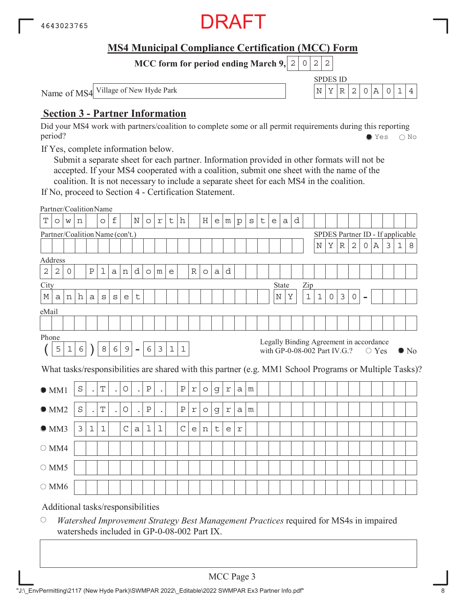

SPDES ID

**MCC form for period ending March 9, 2 0 2 2** 

Name of MS4 Village of New Hyde Park  $\left| N \right| X \left| R \right| 2 \left| 0 \right| A \left| 0 \right| 1 \left| 4 \right|$ 

### **Section 3 - Partner Information**

Did your MS4 work with partners/coalition to complete some or all permit requirements during this reporting period? Yes No

If Yes, complete information below.

Submit a separate sheet for each partner. Information provided in other formats will not be accepted. If your MS4 cooperated with a coalition, submit one sheet with the name of the coalition. It is not necessary to include a separate sheet for each MS4 in the coalition.

If No, proceed to Section 4 - Certification Statement.

|                |            |              |            |                      | Partner/CoalitionName             |                      |             |                |              |                |             |              |             |         |             |            |              |   |   |   |              |   |             |             |                                                                         |             |              |                |             |   |             |                                                                                                        |
|----------------|------------|--------------|------------|----------------------|-----------------------------------|----------------------|-------------|----------------|--------------|----------------|-------------|--------------|-------------|---------|-------------|------------|--------------|---|---|---|--------------|---|-------------|-------------|-------------------------------------------------------------------------|-------------|--------------|----------------|-------------|---|-------------|--------------------------------------------------------------------------------------------------------|
| T              | $\circ$    | W            | n          |                      | $\circ$                           | f                    |             | N              | $\circ$      | $\mathbf r$    | t           | h            |             | Η       | e           | m          | $\mathbf{p}$ | S | t | e | a            | d |             |             |                                                                         |             |              |                |             |   |             |                                                                                                        |
|                |            |              |            |                      | Partner/Coalition Name (con't.)   |                      |             |                |              |                |             |              |             |         |             |            |              |   |   |   |              |   |             |             | SPDES Partner ID - If applicable                                        |             |              |                |             |   |             |                                                                                                        |
|                |            |              |            |                      |                                   |                      |             |                |              |                |             |              |             |         |             |            |              |   |   |   |              |   |             | $\mathbf N$ | Υ                                                                       | $\mathbb R$ | $\mathbf{2}$ | 0              | Α           | 3 | $\mathbf 1$ | 8                                                                                                      |
| Address        |            |              |            |                      |                                   |                      |             |                |              |                |             |              |             |         |             |            |              |   |   |   |              |   |             |             |                                                                         |             |              |                |             |   |             |                                                                                                        |
| $\mathbf 2$    | $\sqrt{2}$ | $\mathsf{O}$ |            | Ρ                    | 1                                 | $\mathsf{a}$         | n           | d              | $\circ$      | m              | e           |              | $\mathbb R$ | $\circ$ | a           | d          |              |   |   |   |              |   |             |             |                                                                         |             |              |                |             |   |             |                                                                                                        |
| City           |            |              |            |                      |                                   |                      |             |                |              |                |             |              |             |         |             |            |              |   |   |   | State        |   | Zip         |             |                                                                         |             |              |                |             |   |             |                                                                                                        |
| М              | a          | n            | h          | a                    | S                                 | S                    | e           | t              |              |                |             |              |             |         |             |            |              |   |   |   | $\rm N$<br>Υ |   | $\mathbf 1$ | $\mathbf 1$ | $\circ$                                                                 | $\mathsf 3$ | $\mathsf{O}$ | $\blacksquare$ |             |   |             |                                                                                                        |
| eMail          |            |              |            |                      |                                   |                      |             |                |              |                |             |              |             |         |             |            |              |   |   |   |              |   |             |             |                                                                         |             |              |                |             |   |             |                                                                                                        |
|                |            |              |            |                      |                                   |                      |             |                |              |                |             |              |             |         |             |            |              |   |   |   |              |   |             |             |                                                                         |             |              |                |             |   |             |                                                                                                        |
| Phone          |            |              |            |                      |                                   |                      |             |                |              |                |             |              |             |         |             |            |              |   |   |   |              |   |             |             |                                                                         |             |              |                |             |   |             |                                                                                                        |
|                | 5          | $\mathbf 1$  | $\epsilon$ |                      | $\,8\,$                           | 6                    | $\mathsf 9$ | $\blacksquare$ | 6            | $\mathfrak{Z}$ | $\mathbf 1$ | $\mathbf 1$  |             |         |             |            |              |   |   |   |              |   |             |             | Legally Binding Agreement in accordance<br>with GP-0-08-002 Part IV.G.? |             |              |                | $\circ$ Yes |   |             | $\bullet$ No                                                                                           |
|                |            |              |            |                      |                                   |                      |             |                |              |                |             |              |             |         |             |            |              |   |   |   |              |   |             |             |                                                                         |             |              |                |             |   |             | What tasks/responsibilities are shared with this partner (e.g. MM1 School Programs or Multiple Tasks)? |
| OM1            |            |              | $\rm S$    | $\ddot{\phantom{0}}$ | T                                 | $\ddot{\phantom{0}}$ | $\bigcirc$  | $\bullet$      | $\, {\bf P}$ |                |             | $\, {\bf P}$ | $\Upsilon$  | $\circ$ | g           | $\Upsilon$ | a            | m |   |   |              |   |             |             |                                                                         |             |              |                |             |   |             |                                                                                                        |
| OMM2           |            |              | $\rm S$    | $\bullet$            | T                                 | $\bullet$            | O           | $\bullet$      | $\, {\bf P}$ | $\bullet$      |             | $\rm P$      | $\mathbf r$ | $\circ$ | $\mathsf d$ | r          | a            | m |   |   |              |   |             |             |                                                                         |             |              |                |             |   |             |                                                                                                        |
| OMM3           |            |              | 3          | $\mathbf 1$          | $\mathbf{1}$                      |                      | $\mathsf C$ | $\mathsf a$    | $\mathbf 1$  | $\mathbf 1$    |             | $\mathsf C$  | e           | n       | t           | e          | r            |   |   |   |              |   |             |             |                                                                         |             |              |                |             |   |             |                                                                                                        |
| $\bigcirc$ MM4 |            |              |            |                      |                                   |                      |             |                |              |                |             |              |             |         |             |            |              |   |   |   |              |   |             |             |                                                                         |             |              |                |             |   |             |                                                                                                        |
| $\circ$ MM5    |            |              |            |                      |                                   |                      |             |                |              |                |             |              |             |         |             |            |              |   |   |   |              |   |             |             |                                                                         |             |              |                |             |   |             |                                                                                                        |
| $\bigcirc$ MM6 |            |              |            |                      |                                   |                      |             |                |              |                |             |              |             |         |             |            |              |   |   |   |              |   |             |             |                                                                         |             |              |                |             |   |             |                                                                                                        |
|                |            |              |            |                      | Additional tasks/responsibilities |                      |             |                |              |                |             |              |             |         |             |            |              |   |   |   |              |   |             |             |                                                                         |             |              |                |             |   |             |                                                                                                        |

 $\bigcirc$ *Watershed Improvement Strategy Best Management Practices* required for MS4s in impaired watersheds included in GP-0-08-002 Part IX.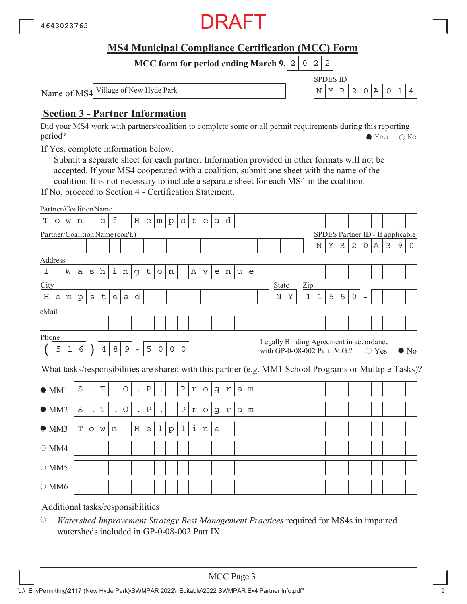

SPDES ID

**MCC form for period ending March 9, 2 0 2 2** 

Name of MS4 Village of New Hyde Park  $\left| N \right| X \left| R \right| 2 \left| 0 \right| A \left| 0 \right| 1 \left| 4 \right|$ 

### **Section 3 - Partner Information**

Did your MS4 work with partners/coalition to complete some or all permit requirements during this reporting period? Yes No

If Yes, complete information below.

Submit a separate sheet for each partner. Information provided in other formats will not be accepted. If your MS4 cooperated with a coalition, submit one sheet with the name of the coalition. It is not necessary to include a separate sheet for each MS4 in the coalition.

If No, proceed to Section 4 - Certification Statement.

|                                                  |         |                |              |           | Partner/CoalitionName           |             |                |                                   |                           |             |          |              |                    |             |             |   |   |   |  |         |                              |             |             |   |             |                                  |   |                |   |   |                                                                                                        |
|--------------------------------------------------|---------|----------------|--------------|-----------|---------------------------------|-------------|----------------|-----------------------------------|---------------------------|-------------|----------|--------------|--------------------|-------------|-------------|---|---|---|--|---------|------------------------------|-------------|-------------|---|-------------|----------------------------------|---|----------------|---|---|--------------------------------------------------------------------------------------------------------|
| Т                                                | $\circ$ | W              | n            |           | $\circ$                         | $\mathbf f$ |                | Η                                 | $\mathop{\rm e}\nolimits$ | m           | $\rm p$  | $\rm s$      | $\mathsf t$        | e           | a           | d |   |   |  |         |                              |             |             |   |             |                                  |   |                |   |   |                                                                                                        |
|                                                  |         |                |              |           | Partner/Coalition Name (con't.) |             |                |                                   |                           |             |          |              |                    |             |             |   |   |   |  |         |                              |             |             |   |             | SPDES Partner ID - If applicable |   |                |   |   |                                                                                                        |
|                                                  |         |                |              |           |                                 |             |                |                                   |                           |             |          |              |                    |             |             |   |   |   |  |         |                              |             | $\mathbb N$ | Y | $\mathbb R$ | $\overline{2}$                   | 0 | Α              | 3 | 9 | 0                                                                                                      |
| Address                                          |         |                |              |           |                                 |             |                |                                   |                           |             |          |              |                    |             |             |   |   |   |  |         |                              |             |             |   |             |                                  |   |                |   |   |                                                                                                        |
| $1\,$                                            |         | W              | a            | S         | h                               | i           | n              | g                                 | t                         | $\circ$     | n        |              | Α                  | $\mathbf v$ | e           | n | u | e |  |         |                              |             |             |   |             |                                  |   |                |   |   |                                                                                                        |
| City                                             |         |                |              |           |                                 |             |                |                                   |                           |             |          |              |                    |             |             |   |   |   |  | State   |                              | Zip         |             |   |             |                                  |   |                |   |   |                                                                                                        |
| $\rm H$                                          | e       | m <sub>1</sub> | $\mathbf{p}$ | S         | t                               | e           | a              | d                                 |                           |             |          |              |                    |             |             |   |   |   |  | $\rm N$ | Υ                            | $\mathbf 1$ | $\mathbf 1$ | 5 | 5           | $\circ$                          | - |                |   |   |                                                                                                        |
| eMail                                            |         |                |              |           |                                 |             |                |                                   |                           |             |          |              |                    |             |             |   |   |   |  |         |                              |             |             |   |             |                                  |   |                |   |   |                                                                                                        |
|                                                  |         |                |              |           |                                 |             |                |                                   |                           |             |          |              |                    |             |             |   |   |   |  |         |                              |             |             |   |             |                                  |   |                |   |   |                                                                                                        |
| Phone<br>Legally Binding Agreement in accordance |         |                |              |           |                                 |             |                |                                   |                           |             |          |              |                    |             |             |   |   |   |  |         |                              |             |             |   |             |                                  |   |                |   |   |                                                                                                        |
|                                                  | 5       | $\mathbf 1$    | 6            |           | $\overline{4}$                  | 8           | $\overline{9}$ | $\overline{a}$                    | 5                         | $\circ$     | $\circ$  | $\circ$      |                    |             |             |   |   |   |  |         | with GP-0-08-002 Part IV.G.? |             |             |   |             |                                  |   | $\bigcirc$ Yes |   |   | $\bullet$ No                                                                                           |
|                                                  |         |                |              |           |                                 |             |                |                                   |                           |             |          |              |                    |             |             |   |   |   |  |         |                              |             |             |   |             |                                  |   |                |   |   | What tasks/responsibilities are shared with this partner (e.g. MM1 School Programs or Multiple Tasks)? |
| $\bullet$ MM1                                    |         |                | $\rm S$      | $\bullet$ | T                               | $\bullet$   | $\bigcirc$     | $\ddot{\phantom{a}}$              | $\, {\bf P}$              | $\bullet$   |          | $\, {\bf P}$ | $\Upsilon$         | $\circ$     | g           | r | a | m |  |         |                              |             |             |   |             |                                  |   |                |   |   |                                                                                                        |
| OMM2                                             |         |                | $\rm S$      | $\bullet$ | $\mathbf T$                     | $\bullet$   | $\bigcirc$     | $\bullet$                         | $\, {\bf P}$              | $\bullet$   |          | $\rm P$      | $\mathbf r$        | $\circ$     | $\mathbf G$ | r | a | m |  |         |                              |             |             |   |             |                                  |   |                |   |   |                                                                                                        |
| OMM3                                             |         |                | $\mathbf T$  | $\circ$   | W                               | n           |                | $\rm H$                           | $\mathsf{e}$              | $\mathbf 1$ | $\rm{p}$ | 1            | $\dot{\mathtt{l}}$ | n           | e           |   |   |   |  |         |                              |             |             |   |             |                                  |   |                |   |   |                                                                                                        |
| $\bigcirc$ MM4                                   |         |                |              |           |                                 |             |                |                                   |                           |             |          |              |                    |             |             |   |   |   |  |         |                              |             |             |   |             |                                  |   |                |   |   |                                                                                                        |
| $\circ$ MM5                                      |         |                |              |           |                                 |             |                |                                   |                           |             |          |              |                    |             |             |   |   |   |  |         |                              |             |             |   |             |                                  |   |                |   |   |                                                                                                        |
| $\bigcirc$ MM6                                   |         |                |              |           |                                 |             |                |                                   |                           |             |          |              |                    |             |             |   |   |   |  |         |                              |             |             |   |             |                                  |   |                |   |   |                                                                                                        |
|                                                  |         |                |              |           |                                 |             |                | Additional tasks/responsibilities |                           |             |          |              |                    |             |             |   |   |   |  |         |                              |             |             |   |             |                                  |   |                |   |   |                                                                                                        |

 $\bigcirc$ *Watershed Improvement Strategy Best Management Practices* required for MS4s in impaired watersheds included in GP-0-08-002 Part IX.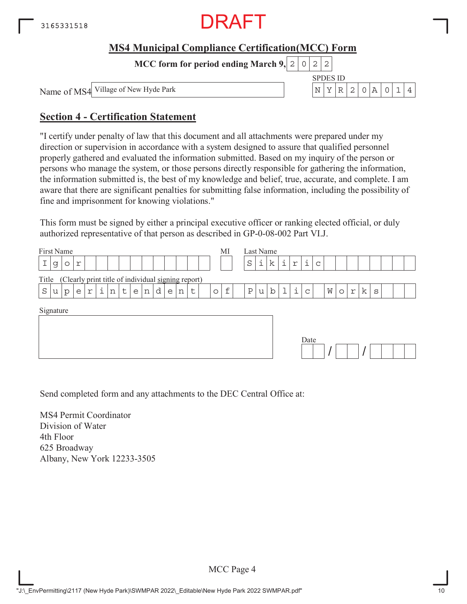

**MCC form for period ending March 9,**  $0|2|2$ 

Name of MS4

Village of New Hyde Park N YR 2 0A 014

SPDES ID

### **Section 4 - Certification Statement**

"I certify under penalty of law that this document and all attachments were prepared under my direction or supervision in accordance with a system designed to assure that qualified personnel properly gathered and evaluated the information submitted. Based on my inquiry of the person or persons who manage the system, or those persons directly responsible for gathering the information, the information submitted is, the best of my knowledge and belief, true, accurate, and complete. I am aware that there are significant penalties for submitting false information, including the possibility of fine and imprisonment for knowing violations."

This form must be signed by either a principal executive officer or ranking elected official, or duly authorized representative of that person as described in GP-0-08-002 Part VI.J.

| First Name                                                                        | MI                               | Last Name                                                                          |
|-----------------------------------------------------------------------------------|----------------------------------|------------------------------------------------------------------------------------|
| Ι<br>g<br>r<br>$\circ$                                                            | S                                | i.<br>i<br>i<br>k<br>$\,$ $\,$ $\,$<br>$\mathsf{C}$                                |
| (Clearly print title of individual signing report)<br>Title                       |                                  |                                                                                    |
| i<br>d<br>$\rm S$<br>$\sf t$<br>$\epsilon$<br>$\Upsilon$<br>n<br>n<br>u<br>p<br>e | f<br>Ρ<br>t<br>$\circ$<br>n<br>e | i<br>k<br>$\mathbf b$<br>W<br>$\Upsilon$<br>$\mathsf{C}$<br>u<br>$\circ$<br>S<br>ᆂ |
| Signature                                                                         |                                  | Date                                                                               |

Send completed form and any attachments to the DEC Central Office at:

MS4 Permit Coordinator Division of Water 4th Floor 625 Broadway Albany, New York 12233-3505

MCC Page 4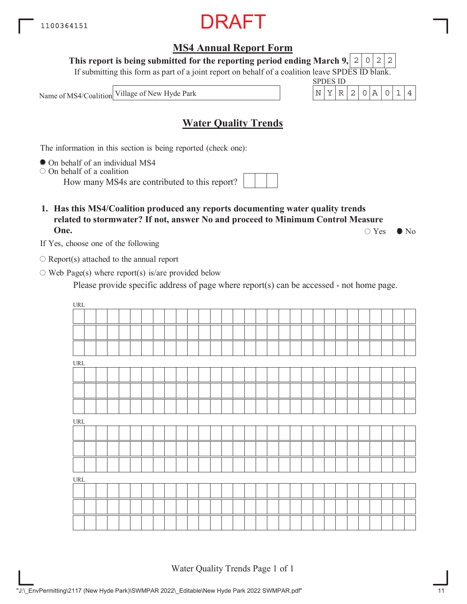## **MS4 Annual Report Form**

**This report is being submitted for the reporting period ending March 9,**  $2|0|2|2$ 

If submitting this form as part of a joint report on behalf of a coalition leave SPDES ID blank.

Name of MS4/Coalition Village of New Hyde Park  $\vert N \vert Y \vert R \vert 2 \vert 0 \vert A \vert 0 \vert 1 \vert 4$ 

**Water Quality Trends**

The information in this section is being reported (check one):

 $\bullet$  On behalf of an individual MS4

 $\circ$  On behalf of a coalition

How many MS4s are contributed to this report?

**1. Has this MS4/Coalition produced any reports documenting water quality trends related to stormwater? If not, answer No and proceed to Minimum Control Measure One.**

 $\circ$  Yes  $\bullet$  No

SPDES ID

If Yes, choose one of the following

 $\bigcirc$  Report(s) attached to the annual report

 $\circ$  Web Page(s) where report(s) is/are provided below

Please provide specific address of page where report(s) can be accessed - not home page.

| $\ensuremath{\text{URL}}\xspace$   |  |  |  |  |  |  |  |  |  |  |  |  |  |  |  |
|------------------------------------|--|--|--|--|--|--|--|--|--|--|--|--|--|--|--|
|                                    |  |  |  |  |  |  |  |  |  |  |  |  |  |  |  |
|                                    |  |  |  |  |  |  |  |  |  |  |  |  |  |  |  |
|                                    |  |  |  |  |  |  |  |  |  |  |  |  |  |  |  |
| $\ensuremath{\text{URL}}\xspace$   |  |  |  |  |  |  |  |  |  |  |  |  |  |  |  |
|                                    |  |  |  |  |  |  |  |  |  |  |  |  |  |  |  |
|                                    |  |  |  |  |  |  |  |  |  |  |  |  |  |  |  |
|                                    |  |  |  |  |  |  |  |  |  |  |  |  |  |  |  |
| $\ensuremath{\mathsf{URL}}\xspace$ |  |  |  |  |  |  |  |  |  |  |  |  |  |  |  |
|                                    |  |  |  |  |  |  |  |  |  |  |  |  |  |  |  |
|                                    |  |  |  |  |  |  |  |  |  |  |  |  |  |  |  |
|                                    |  |  |  |  |  |  |  |  |  |  |  |  |  |  |  |
| $\ensuremath{\text{URL}}\xspace$   |  |  |  |  |  |  |  |  |  |  |  |  |  |  |  |
|                                    |  |  |  |  |  |  |  |  |  |  |  |  |  |  |  |
|                                    |  |  |  |  |  |  |  |  |  |  |  |  |  |  |  |
|                                    |  |  |  |  |  |  |  |  |  |  |  |  |  |  |  |

Water Quality Trends Page 1 of 1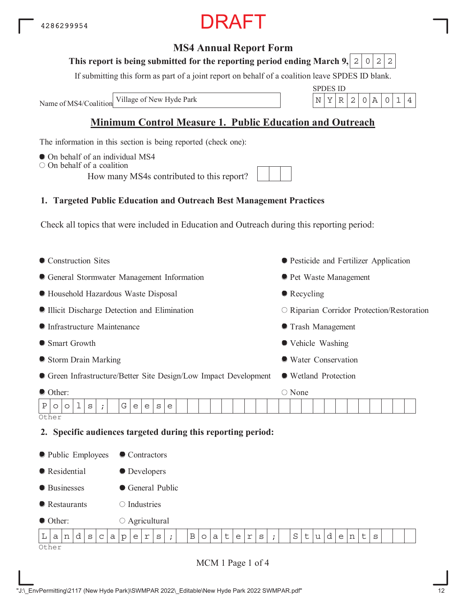# RAFT

### **MS4 Annual Report Form**

#### **This report is being submitted for the reporting period ending March 9,**  $0|2|2$

If submitting this form as part of a joint report on behalf of a coalition leave SPDES ID blank.

Name of MS4/Coalition

SPDES ID Village of New Hyde Park  $\vert N \vert Y \vert R \vert 2 \vert 0 \vert A \vert 0 \vert 1 \vert 4$ 

# **Minimum Control Measure 1. Public Education and Outreach**

The information in this section is being reported (check one):

- $\bullet$  On behalf of an individual MS4
- $\circ$  On behalf of a coalition

How many MS4s contributed to this report?

# **1. Targeted Public Education and Outreach Best Management Practices**

Check all topics that were included in Education and Outreach during this reporting period:

| Construction Sites                                        |                                                                                             | • Pesticide and Fertilizer Application     |
|-----------------------------------------------------------|---------------------------------------------------------------------------------------------|--------------------------------------------|
| • General Stormwater Management Information               |                                                                                             | ● Pet Waste Management                     |
| <b>• Household Hazardous Waste Disposal</b>               |                                                                                             | • Recycling                                |
| Illicit Discharge Detection and Elimination               |                                                                                             | O Riparian Corridor Protection/Restoration |
| <b>Infrastructure Maintenance</b>                         |                                                                                             | <b>• Trash Management</b>                  |
| Smart Growth                                              |                                                                                             | • Vehicle Washing                          |
| Storm Drain Marking                                       |                                                                                             | ● Water Conservation                       |
|                                                           | • Green Infrastructure/Better Site Design/Low Impact Development                            | • Wetland Protection                       |
| O Other:                                                  |                                                                                             | ○ None                                     |
| 1<br>G<br>Ρ<br>$\rm s$<br>$\circ$<br>O<br>$\ddot{i}$      | $\rm s$<br>е<br>e<br>e                                                                      |                                            |
| Other                                                     |                                                                                             |                                            |
| 2.                                                        | Specific audiences targeted during this reporting period:                                   |                                            |
| lacktriangleright Public Employees                        | Contractors                                                                                 |                                            |
| Residential                                               | • Developers                                                                                |                                            |
| <b>•</b> Businesses                                       | General Public                                                                              |                                            |
| Restaurants                                               | $\bigcirc$ Industries                                                                       |                                            |
| Other:                                                    | $\circ$ Agricultural                                                                        |                                            |
| d<br>L<br>S<br>$\mathsf C$<br>a<br>$\mathsf{p}$<br>a<br>n | $\, {\bf B}$<br>t<br>r<br>S<br>e<br>r<br>e<br>а<br>S<br>$\circ$<br>$\ddot{i}$<br>$\ddot{i}$ | $\rm S$<br>d<br>t<br>t<br>u<br>S<br>e<br>n |
| Other                                                     |                                                                                             |                                            |

MCM 1 Page 1 of 4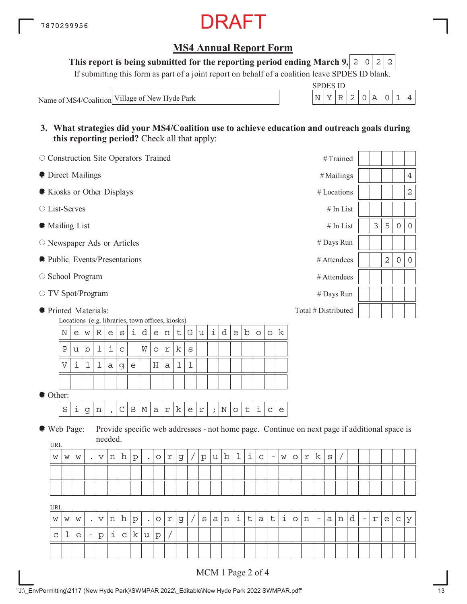## **MS4 Annual Report Form**

**This report is being submitted for the reporting period ending March 9, 2 0 2 2** 

If submitting this form as part of a joint report on behalf of a coalition leave SPDES ID blank.

Name of MS4/Coalition Village of New Hyde Park

| SPDES ID |  |  |  |  |
|----------|--|--|--|--|
|          |  |  |  |  |

**3. What strategies did your MS4/Coalition use to achieve education and outreach goals during this reporting period?** Check all that apply:

|                           | O Construction Site Operators Trained<br>#Trained<br><b>O</b> Direct Mailings<br>#Mailings<br>Kiosks or Other Displays<br># Locations<br>○ List-Serves<br># In List<br>• Mailing List<br>$#$ In List<br># Days Run<br>O Newspaper Ads or Articles<br>lacktriangleright Presentations<br># Attendees<br>○ School Program<br># Attendees<br># Days Run<br>Total # Distributed<br>Locations (e.g. libraries, town offices, kiosks)<br>i<br>i<br>d<br>$\mathbf b$<br>d<br>G<br>k<br>N<br>R<br>e<br>W<br>$\rm s$<br>$\mathsf{e}% _{t}\left( t\right)$<br>t<br>u<br>$\circ$<br>е<br>e<br>n<br>$\circ$<br>i<br>1<br>k<br>$\, {\bf P}$<br>b<br>W<br>$\mathsf C$<br>$\circ$<br>$\ensuremath{\mathbf{r}}$<br>$\rm s$<br>u<br>i<br>1<br>1<br>1<br>l<br>$\boldsymbol{\nabla}$<br>Η<br>$\mathsf a$<br>$\mathsf g$<br>e<br>a |   |                          |   |              |             |                                                                                              |             |             |            |             |   |                         |               |             |         |             |             |                   |                                   |         |                           |                          |         |   |   |                          |   |             |                     |                     |
|---------------------------|----------------------------------------------------------------------------------------------------------------------------------------------------------------------------------------------------------------------------------------------------------------------------------------------------------------------------------------------------------------------------------------------------------------------------------------------------------------------------------------------------------------------------------------------------------------------------------------------------------------------------------------------------------------------------------------------------------------------------------------------------------------------------------------------------------------|---|--------------------------|---|--------------|-------------|----------------------------------------------------------------------------------------------|-------------|-------------|------------|-------------|---|-------------------------|---------------|-------------|---------|-------------|-------------|-------------------|-----------------------------------|---------|---------------------------|--------------------------|---------|---|---|--------------------------|---|-------------|---------------------|---------------------|
|                           |                                                                                                                                                                                                                                                                                                                                                                                                                                                                                                                                                                                                                                                                                                                                                                                                                |   |                          |   |              |             |                                                                                              |             |             |            |             |   |                         |               |             |         |             |             |                   |                                   |         |                           |                          |         |   |   |                          |   |             |                     | 4                   |
|                           |                                                                                                                                                                                                                                                                                                                                                                                                                                                                                                                                                                                                                                                                                                                                                                                                                |   |                          |   |              |             |                                                                                              |             |             |            |             |   |                         |               |             |         |             |             |                   |                                   |         |                           |                          |         |   |   |                          |   |             |                     | $\mathbf 2$         |
|                           |                                                                                                                                                                                                                                                                                                                                                                                                                                                                                                                                                                                                                                                                                                                                                                                                                |   |                          |   |              |             |                                                                                              |             |             |            |             |   |                         |               |             |         |             |             |                   |                                   |         |                           |                          |         |   |   |                          |   |             |                     |                     |
|                           |                                                                                                                                                                                                                                                                                                                                                                                                                                                                                                                                                                                                                                                                                                                                                                                                                |   |                          |   |              |             |                                                                                              |             |             |            |             |   |                         |               |             |         |             |             |                   |                                   |         |                           |                          |         |   |   |                          | 3 | 5           | $\mathsf{O}\xspace$ | $\mathsf{O}\xspace$ |
|                           |                                                                                                                                                                                                                                                                                                                                                                                                                                                                                                                                                                                                                                                                                                                                                                                                                |   |                          |   |              |             |                                                                                              |             |             |            |             |   |                         |               |             |         |             |             |                   |                                   |         |                           |                          |         |   |   |                          |   |             |                     |                     |
|                           |                                                                                                                                                                                                                                                                                                                                                                                                                                                                                                                                                                                                                                                                                                                                                                                                                |   |                          |   |              |             |                                                                                              |             |             |            |             |   |                         |               |             |         |             |             |                   |                                   |         |                           |                          |         |   |   |                          |   | $\mathbf 2$ | $\mathbf 0$         | $\mathbf 0$         |
|                           |                                                                                                                                                                                                                                                                                                                                                                                                                                                                                                                                                                                                                                                                                                                                                                                                                |   |                          |   |              |             |                                                                                              |             |             |            |             |   |                         |               |             |         |             |             |                   |                                   |         |                           |                          |         |   |   |                          |   |             |                     |                     |
|                           |                                                                                                                                                                                                                                                                                                                                                                                                                                                                                                                                                                                                                                                                                                                                                                                                                |   |                          |   |              |             |                                                                                              |             |             |            |             |   |                         |               |             |         |             |             |                   |                                   |         |                           |                          |         |   |   |                          |   |             |                     |                     |
|                           | ○ TV Spot/Program                                                                                                                                                                                                                                                                                                                                                                                                                                                                                                                                                                                                                                                                                                                                                                                              |   |                          |   |              |             |                                                                                              |             |             |            |             |   |                         |               |             |         |             |             |                   |                                   |         |                           |                          |         |   |   |                          |   |             |                     |                     |
|                           |                                                                                                                                                                                                                                                                                                                                                                                                                                                                                                                                                                                                                                                                                                                                                                                                                |   |                          |   |              |             |                                                                                              |             |             |            |             |   |                         |               |             |         |             |             |                   |                                   |         |                           |                          |         |   |   |                          |   |             |                     |                     |
|                           |                                                                                                                                                                                                                                                                                                                                                                                                                                                                                                                                                                                                                                                                                                                                                                                                                |   |                          |   |              |             |                                                                                              |             |             |            |             |   |                         |               |             |         |             |             |                   |                                   |         |                           |                          |         |   |   |                          |   |             |                     |                     |
|                           |                                                                                                                                                                                                                                                                                                                                                                                                                                                                                                                                                                                                                                                                                                                                                                                                                |   |                          |   |              |             |                                                                                              |             |             |            |             |   |                         |               |             |         |             |             |                   |                                   |         |                           |                          |         |   |   |                          |   |             |                     |                     |
|                           | ● Printed Materials:                                                                                                                                                                                                                                                                                                                                                                                                                                                                                                                                                                                                                                                                                                                                                                                           |   |                          |   |              |             |                                                                                              |             |             |            |             |   |                         |               |             |         |             |             |                   |                                   |         |                           |                          |         |   |   |                          |   |             |                     |                     |
| Other:                    |                                                                                                                                                                                                                                                                                                                                                                                                                                                                                                                                                                                                                                                                                                                                                                                                                |   |                          |   |              |             |                                                                                              |             |             |            |             |   |                         |               |             |         |             |             |                   |                                   |         |                           |                          |         |   |   |                          |   |             |                     |                     |
|                           | $\rm S$                                                                                                                                                                                                                                                                                                                                                                                                                                                                                                                                                                                                                                                                                                                                                                                                        | i | $\mathsf g$              | n | $\mathbf{r}$ | $\mathsf C$ | $\, {\bf B}$                                                                                 | $\mathbb M$ | $\mathsf a$ | $\Upsilon$ | k           | e | $\mathfrak{\textbf{r}}$ | $\mathcal{V}$ | $\mathbf N$ | $\circ$ | $\mathsf t$ | i           | $\mathsf C$       | $\mathsf{e}% _{t}\left( t\right)$ |         |                           |                          |         |   |   |                          |   |             |                     |                     |
| ● Web Page:<br><b>URL</b> |                                                                                                                                                                                                                                                                                                                                                                                                                                                                                                                                                                                                                                                                                                                                                                                                                |   |                          |   | needed.      |             | Provide specific web addresses - not home page. Continue on next page if additional space is |             |             |            |             |   |                         |               |             |         |             |             |                   |                                   |         |                           |                          |         |   |   |                          |   |             |                     |                     |
| W                         | W                                                                                                                                                                                                                                                                                                                                                                                                                                                                                                                                                                                                                                                                                                                                                                                                              | W |                          | V | n            | h           | $\rm p$                                                                                      |             | $\circ$     | $\Upsilon$ | g           |   | p                       | u             | b           | 1       | i           | $\mathsf C$ | $\qquad \qquad -$ | W                                 | $\circ$ | $\ensuremath{\mathbf{r}}$ | k                        | $\rm S$ |   |   |                          |   |             |                     |                     |
|                           |                                                                                                                                                                                                                                                                                                                                                                                                                                                                                                                                                                                                                                                                                                                                                                                                                |   |                          |   |              |             |                                                                                              |             |             |            |             |   |                         |               |             |         |             |             |                   |                                   |         |                           |                          |         |   |   |                          |   |             |                     |                     |
|                           |                                                                                                                                                                                                                                                                                                                                                                                                                                                                                                                                                                                                                                                                                                                                                                                                                |   |                          |   |              |             |                                                                                              |             |             |            |             |   |                         |               |             |         |             |             |                   |                                   |         |                           |                          |         |   |   |                          |   |             |                     |                     |
| <b>URL</b>                |                                                                                                                                                                                                                                                                                                                                                                                                                                                                                                                                                                                                                                                                                                                                                                                                                |   |                          |   |              |             |                                                                                              |             |             |            |             |   |                         |               |             |         |             |             |                   |                                   |         |                           |                          |         |   |   |                          |   |             |                     |                     |
| W                         | W                                                                                                                                                                                                                                                                                                                                                                                                                                                                                                                                                                                                                                                                                                                                                                                                              | W |                          | V | n            | h           | $\rm p$                                                                                      |             | $\circ$     | r          | $\mathsf d$ |   | $\rm s$                 | a             | n           | i       | $\mathsf t$ | a           | t                 | i                                 | $\circ$ | n                         | $\overline{\phantom{a}}$ | a I     | n | d | $\overline{\phantom{a}}$ | r | e           | $\mathbf C$         | У                   |
| C                         | 1                                                                                                                                                                                                                                                                                                                                                                                                                                                                                                                                                                                                                                                                                                                                                                                                              | e | $\overline{\phantom{a}}$ | p | i,           | $\mathsf C$ | k                                                                                            | u           | p           |            |             |   |                         |               |             |         |             |             |                   |                                   |         |                           |                          |         |   |   |                          |   |             |                     |                     |
|                           |                                                                                                                                                                                                                                                                                                                                                                                                                                                                                                                                                                                                                                                                                                                                                                                                                |   |                          |   |              |             |                                                                                              |             |             |            |             |   |                         |               |             |         |             |             |                   |                                   |         |                           |                          |         |   |   |                          |   |             |                     |                     |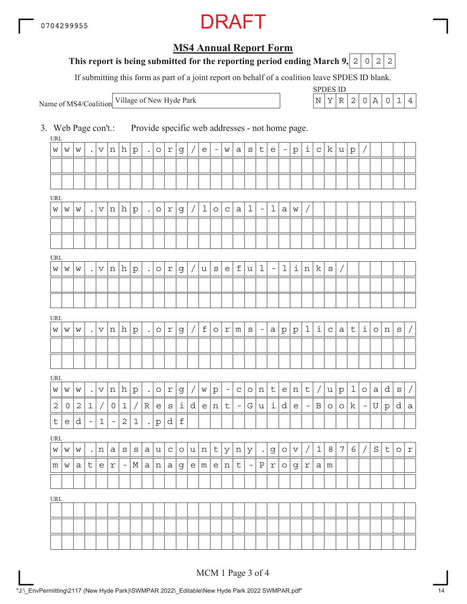# **MS4 Annual Report Form**

#### **This report is being submitted for the reporting period ending March 9, 2 0 2 2**

If submitting this form as part of a joint report on behalf of a coalition leave SPDES ID blank.

Name of MS4/Coalition

SPDES ID Village of New Hyde Park  $\vert N \vert Y \vert R \vert 2 \vert 0 \vert A \vert 0 \vert 1 \vert 4$ 

3. Web Page con't.: Provide specific web addresses - not home page.

URL URL URL **URI** URL URL URL  $w |w |w |$ . $|v |n |h |p |$ . $|o |r |g| / |e |$  -  $|w |a |s |t |e |$  -  $|p |i |c |k |u |p |/$  $w \, | \, w \, | \, w \, | \, . \, | \, v \, | \, n \, | \, h \, | \, p \, | \, . \, | \, o \, | \, r \, | \, g \, | \, / \, | \, 1 \, | \, o \, | \, c \, | \, a \, | \, 1 \, | - \, | \, 1 \, | \, a \, | \, w \, | \, / \, 1$  $w \, | \, w \, | \, w \, | \, . \, | \, v \, | \, n \, | \, h \, | \, p \, | \, . \, | \, o \, | \, r \, | \, g \, | \, / \, | \, u \, | \, s \, | \, e \, | \, f \, | \, u \, | \, 1 \, | \, - \, | \, 1 \, | \, i \, | \, n \, | \, k \, | \, s \, | \, / \, | \,$  $w \, | \, w \, | \, \ldots \, | \, v \, | \, n \, | \, h \, | \, p \, | \, \ldots \, | \, \circ \, | \, r \, | \, g \, | \, / \, | \, f \, | \, \circ \, | \, r \, | \, m \, | \, s \, | \, - \, | \, a \, | \, p \, | \, 1 \, | \, c \, | \, a \, | \, t \, | \, i \, | \, o \, | \, n \, | \, s \, | \, / \, t \, | \, t \, | \, t \, | \, t \, | \, t \, | \, t \, | \, t \, | \,$  $w \, | \, w \, | \, \ldots \, | \, v \, | \, n \, | \, h \, | \, p \, | \, \ldots \, | \, \circ \, | \, x \, | \, g \, | \, / \, | \, w \, | \, p \, | \, - \, | \, c \, | \, o \, | \, n \, | \, t \, | \, e \, | \, n \, | \, t \, | \, / \, | \, u \, | \, p \, | \, 1 \, | \, o \, | \, a \, | \, d \, | \, s \, | \, / \, | \, w \, | \, f \, | \, f \, | \, f \, | \, f \, |$  $2|0|2|1|/|0|1|/|R|e|s|1|d|e|n|t| -|G|u|1|d|e| -|B|o|o|k| -|U|p|d|a$  $t |e|d - |1| - |2|1|$ . $|p|d|f$ w |w |w | .|n |a |s |s |a |u |c |o |u |n |t |y |n |y | .|g |o |v | / | 1 | 8 | 7 | 6 | / | S | t | o | r  $m \mid w \mid a \mid t \mid e \mid r \mid$  -  $\mid$   $M \mid a \mid n \mid a \mid g \mid e \mid m \mid e \mid n \mid t \mid$  -  $\mid$   $P \mid r \mid o \mid g \mid r \mid a \mid m$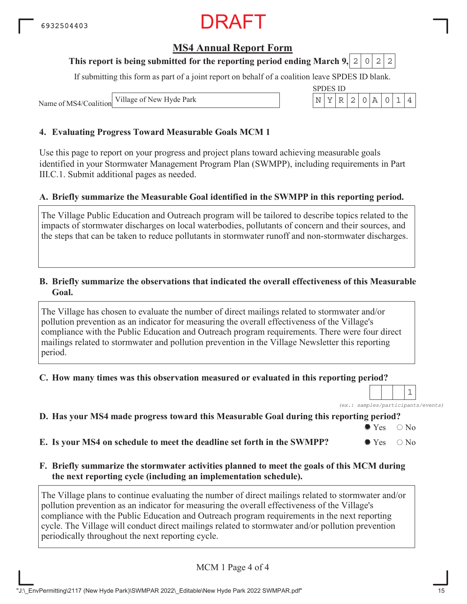### **MS4 Annual Report Form**

#### **This report is being submitted for the reporting period ending March 9, 2 0 2 2**

If submitting this form as part of a joint report on behalf of a coalition leave SPDES ID blank.

SPDES ID

Name of MS4/Coalition Village of New Hyde Park N YR 2 0A 014

#### **4. Evaluating Progress Toward Measurable Goals MCM 1**

Use this page to report on your progress and project plans toward achieving measurable goals identified in your Stormwater Management Program Plan (SWMPP), including requirements in Part III.C.1. Submit additional pages as needed.

#### **A. Briefly summarize the Measurable Goal identified in the SWMPP in this reporting period.**

The Village Public Education and Outreach program will be tailored to describe topics related to the impacts of stormwater discharges on local waterbodies, pollutants of concern and their sources, and the steps that can be taken to reduce pollutants in stormwater runoff and non-stormwater discharges.

#### **B. Briefly summarize the observations that indicated the overall effectiveness of this Measurable Goal.**

The Village has chosen to evaluate the number of direct mailings related to stormwater and/or pollution prevention as an indicator for measuring the overall effectiveness of the Village's compliance with the Public Education and Outreach program requirements. There were four direct mailings related to stormwater and pollution prevention in the Village Newsletter this reporting period.

**C. How many times was this observation measured or evaluated in this reporting period?**

*(ex.: samples/participants/events)* 1

#### **D. Has your MS4 made progress toward this Measurable Goal during this reporting period?**

 $\bullet$  Yes  $\circ$  No

**E.** Is your MS4 on schedule to meet the deadline set forth in the SWMPP?  $\bullet$  Yes  $\circ$  No

#### **F. Briefly summarize the stormwater activities planned to meet the goals of this MCM during the next reporting cycle (including an implementation schedule).**

The Village plans to continue evaluating the number of direct mailings related to stormwater and/or pollution prevention as an indicator for measuring the overall effectiveness of the Village's compliance with the Public Education and Outreach program requirements in the next reporting cycle. The Village will conduct direct mailings related to stormwater and/or pollution prevention periodically throughout the next reporting cycle.

MCM 1 Page 4 of 4

"J:\\_EnvPermitting\2117 (New Hyde Park)\SWMPAR 2022\\_Editable\New Hyde Park 2022 SWMPAR.pdf" 15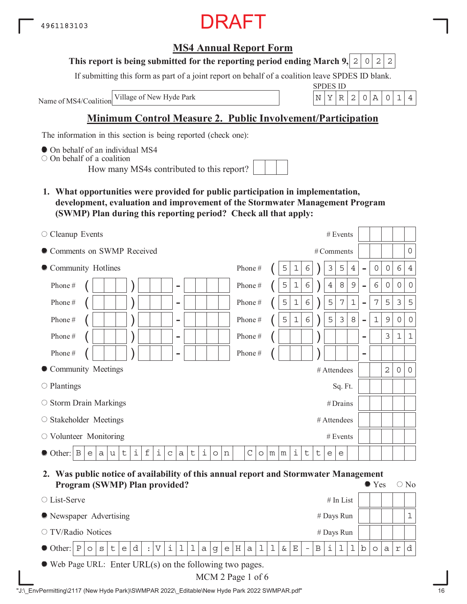# RAFT

## **MS4 Annual Report Form**

#### **This report is being submitted for the reporting period ending March 9, 2 0 2 2**

If submitting this form as part of a joint report on behalf of a coalition leave SPDES ID blank.

Name of MS4/Coalition

SPDES ID Village of New Hyde Park  $\vert N \vert Y \vert R \vert 2 \vert 0 \vert A \vert 0 \vert 1 \vert 4$ 

# **Minimum Control Measure 2. Public Involvement/Participation**

The information in this section is being reported (check one):

 $\bullet$  On behalf of an individual MS4

On behalf of a coalition

How many MS4s contributed to this report?

**1. What opportunities were provided for public participation in implementation, development, evaluation and improvement of the Stormwater Management Program (SWMP) Plan during this reporting period? Check all that apply:**

| $\circ$ Cleanup Events                                                                                             | # Events                                                                                                                           |
|--------------------------------------------------------------------------------------------------------------------|------------------------------------------------------------------------------------------------------------------------------------|
| Comments on SWMP Received                                                                                          | 0<br># Comments                                                                                                                    |
| • Community Hotlines                                                                                               | Phone#<br>5<br>3<br>5<br>6<br>1<br>6<br>0<br>4<br>0<br>4<br>-                                                                      |
| Phone#<br>$\overline{\phantom{a}}$                                                                                 | $\epsilon$<br>6<br>5<br>8<br>$\mathcal{G}$<br>Phone#<br>$1\,$<br>$\ensuremath{4}$<br>0<br>$\mathbf 0$<br>$\mathbf 0$<br>-          |
| Phone#<br>$\overline{\phantom{0}}$                                                                                 | $\epsilon$<br>5<br>3<br>5<br>5<br>7<br>$\mathbf 1$<br>7<br>5<br>Phone#<br>$\mathbf 1$<br>$\overline{\phantom{0}}$                  |
| Phone#<br>$\overline{\phantom{a}}$                                                                                 | $\epsilon$<br>5<br>5<br>3<br>8<br>$\mathsf 9$<br>$\mathbf 1$<br>$\mathbf{1}$<br>Phone#<br>0<br>$\circ$<br>$\overline{\phantom{0}}$ |
| Phone#<br>$\overline{\phantom{0}}$                                                                                 | 3<br>$\mathbf 1$<br>$\mathbf{1}$<br>Phone#<br>$\overline{\phantom{m}}$                                                             |
| Phone#<br>-                                                                                                        | Phone#<br>$\overline{\phantom{0}}$                                                                                                 |
| • Community Meetings                                                                                               | $\mathbf{2}$<br># Attendees<br>$\circ$<br>$\mathsf{O}$                                                                             |
| $\circ$ Plantings                                                                                                  | Sq. Ft.                                                                                                                            |
| $\circ$ Storm Drain Markings                                                                                       | #Drains                                                                                                                            |
| ○ Stakeholder Meetings                                                                                             | # Attendees                                                                                                                        |
| $\circlearrowright$ Volunteer Monitoring                                                                           | # Events                                                                                                                           |
| i<br>$\mathbf f$<br>i<br>i<br>$\sf t$<br>$\sf t$<br>Β<br>Other:<br>a<br>$\mathsf C$<br>a<br>e<br>u<br>n<br>$\circ$ | i<br>$\mathcal{C}$<br>t<br>t<br>m<br>m<br>$\circ$<br>e<br>е                                                                        |

**2. Was public notice of availability of this annual report and Stormwater Management Program (SWMP) Plan provided?**  $\bullet$  Yes  $\circ$  No

|                                                                  | $110$ and $1011$ in the provident<br># In List<br>• Newspaper Advertising |  |  |  |  |  |  |  |  |  |  |  |  |                                    |  |  |  |        |                   |  |  |     |               |   |
|------------------------------------------------------------------|---------------------------------------------------------------------------|--|--|--|--|--|--|--|--|--|--|--|--|------------------------------------|--|--|--|--------|-------------------|--|--|-----|---------------|---|
| $\circ$ List-Serve                                               |                                                                           |  |  |  |  |  |  |  |  |  |  |  |  |                                    |  |  |  |        |                   |  |  |     |               |   |
|                                                                  | $#$ Days Run<br># Days Run                                                |  |  |  |  |  |  |  |  |  |  |  |  |                                    |  |  |  |        |                   |  |  |     |               |   |
| ○ TV/Radio Notices                                               |                                                                           |  |  |  |  |  |  |  |  |  |  |  |  |                                    |  |  |  |        |                   |  |  |     |               |   |
| $\bullet$ Other: $P o s t e $                                    |                                                                           |  |  |  |  |  |  |  |  |  |  |  |  | $ d :  V i 1 1 a g e H a 1 1 k E $ |  |  |  | $\sim$ | $ B $ i $ 1 I b $ |  |  | o a | $\mathcal{L}$ | d |
| $\bullet$ Web Page URL: Enter URL(s) on the following two pages. |                                                                           |  |  |  |  |  |  |  |  |  |  |  |  |                                    |  |  |  |        |                   |  |  |     |               |   |

MCM 2 Page 1 of 6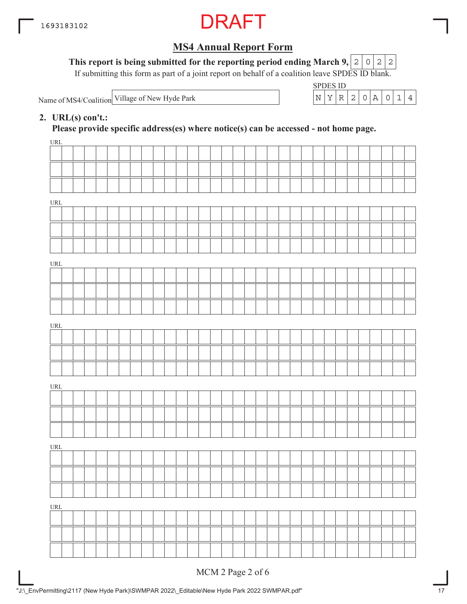

**This report is being submitted for the reporting period ending March 9,**  $0|2|2$ 

If submitting this form as part of a joint report on behalf of a coalition leave SPDES ID blank.

Name of MS4/Coalition

SPDES ID Village of New Hyde Park  $\vert N \vert Y \vert R \vert 2 \vert 0 \vert A \vert 0 \vert 1 \vert 4$ 

#### **2. URL(s) con't.:**

**Please provide specific address(es) where notice(s) can be accessed - not home page.**

| URL                                |              |  |  |  |  |  |  |  |  |  |  |  |  |  |  |  |
|------------------------------------|--------------|--|--|--|--|--|--|--|--|--|--|--|--|--|--|--|
|                                    |              |  |  |  |  |  |  |  |  |  |  |  |  |  |  |  |
|                                    |              |  |  |  |  |  |  |  |  |  |  |  |  |  |  |  |
|                                    |              |  |  |  |  |  |  |  |  |  |  |  |  |  |  |  |
| $\ensuremath{\mathsf{URL}}\xspace$ |              |  |  |  |  |  |  |  |  |  |  |  |  |  |  |  |
|                                    |              |  |  |  |  |  |  |  |  |  |  |  |  |  |  |  |
|                                    |              |  |  |  |  |  |  |  |  |  |  |  |  |  |  |  |
|                                    |              |  |  |  |  |  |  |  |  |  |  |  |  |  |  |  |
|                                    |              |  |  |  |  |  |  |  |  |  |  |  |  |  |  |  |
| $\ensuremath{\mathsf{URL}}\xspace$ |              |  |  |  |  |  |  |  |  |  |  |  |  |  |  |  |
|                                    |              |  |  |  |  |  |  |  |  |  |  |  |  |  |  |  |
|                                    |              |  |  |  |  |  |  |  |  |  |  |  |  |  |  |  |
|                                    |              |  |  |  |  |  |  |  |  |  |  |  |  |  |  |  |
| URL                                |              |  |  |  |  |  |  |  |  |  |  |  |  |  |  |  |
|                                    |              |  |  |  |  |  |  |  |  |  |  |  |  |  |  |  |
|                                    |              |  |  |  |  |  |  |  |  |  |  |  |  |  |  |  |
|                                    |              |  |  |  |  |  |  |  |  |  |  |  |  |  |  |  |
| $\ensuremath{\mathsf{URL}}\xspace$ |              |  |  |  |  |  |  |  |  |  |  |  |  |  |  |  |
|                                    |              |  |  |  |  |  |  |  |  |  |  |  |  |  |  |  |
|                                    |              |  |  |  |  |  |  |  |  |  |  |  |  |  |  |  |
|                                    |              |  |  |  |  |  |  |  |  |  |  |  |  |  |  |  |
| $\ensuremath{\mathsf{URL}}\xspace$ |              |  |  |  |  |  |  |  |  |  |  |  |  |  |  |  |
|                                    |              |  |  |  |  |  |  |  |  |  |  |  |  |  |  |  |
|                                    | $\mathbf{I}$ |  |  |  |  |  |  |  |  |  |  |  |  |  |  |  |
|                                    |              |  |  |  |  |  |  |  |  |  |  |  |  |  |  |  |
| $\ensuremath{\mathsf{URL}}\xspace$ |              |  |  |  |  |  |  |  |  |  |  |  |  |  |  |  |
|                                    |              |  |  |  |  |  |  |  |  |  |  |  |  |  |  |  |
|                                    |              |  |  |  |  |  |  |  |  |  |  |  |  |  |  |  |
|                                    |              |  |  |  |  |  |  |  |  |  |  |  |  |  |  |  |
|                                    |              |  |  |  |  |  |  |  |  |  |  |  |  |  |  |  |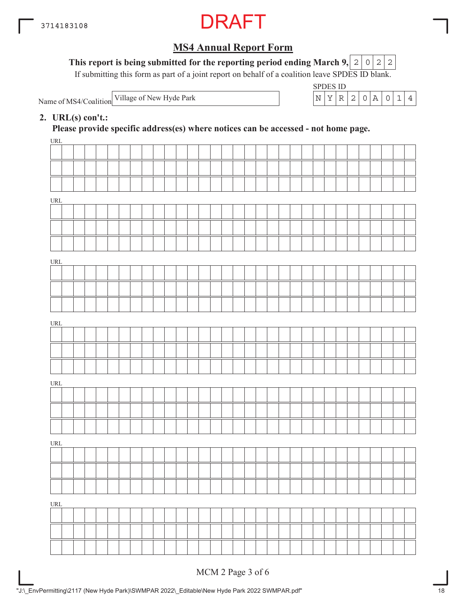

#### This report is being submitted for the reporting period ending March 9,  $|2|0|2|2$

If submitting this form as part of a joint report on behalf of a coalition leave SPDES ID blank.

Name of MS4/Coalition



#### **2. URL(s) con't.:**

**Please provide specific address(es) where notices can be accessed - not home page.**

| URL                              |  |  |  |  |  |  |  |  |  |  |  |  |  |  |  |  |
|----------------------------------|--|--|--|--|--|--|--|--|--|--|--|--|--|--|--|--|
|                                  |  |  |  |  |  |  |  |  |  |  |  |  |  |  |  |  |
|                                  |  |  |  |  |  |  |  |  |  |  |  |  |  |  |  |  |
|                                  |  |  |  |  |  |  |  |  |  |  |  |  |  |  |  |  |
| URL                              |  |  |  |  |  |  |  |  |  |  |  |  |  |  |  |  |
|                                  |  |  |  |  |  |  |  |  |  |  |  |  |  |  |  |  |
|                                  |  |  |  |  |  |  |  |  |  |  |  |  |  |  |  |  |
|                                  |  |  |  |  |  |  |  |  |  |  |  |  |  |  |  |  |
|                                  |  |  |  |  |  |  |  |  |  |  |  |  |  |  |  |  |
| URL                              |  |  |  |  |  |  |  |  |  |  |  |  |  |  |  |  |
|                                  |  |  |  |  |  |  |  |  |  |  |  |  |  |  |  |  |
|                                  |  |  |  |  |  |  |  |  |  |  |  |  |  |  |  |  |
|                                  |  |  |  |  |  |  |  |  |  |  |  |  |  |  |  |  |
| URL                              |  |  |  |  |  |  |  |  |  |  |  |  |  |  |  |  |
|                                  |  |  |  |  |  |  |  |  |  |  |  |  |  |  |  |  |
|                                  |  |  |  |  |  |  |  |  |  |  |  |  |  |  |  |  |
|                                  |  |  |  |  |  |  |  |  |  |  |  |  |  |  |  |  |
| URL                              |  |  |  |  |  |  |  |  |  |  |  |  |  |  |  |  |
|                                  |  |  |  |  |  |  |  |  |  |  |  |  |  |  |  |  |
|                                  |  |  |  |  |  |  |  |  |  |  |  |  |  |  |  |  |
|                                  |  |  |  |  |  |  |  |  |  |  |  |  |  |  |  |  |
|                                  |  |  |  |  |  |  |  |  |  |  |  |  |  |  |  |  |
| $\ensuremath{\text{URL}}\xspace$ |  |  |  |  |  |  |  |  |  |  |  |  |  |  |  |  |
|                                  |  |  |  |  |  |  |  |  |  |  |  |  |  |  |  |  |
|                                  |  |  |  |  |  |  |  |  |  |  |  |  |  |  |  |  |
|                                  |  |  |  |  |  |  |  |  |  |  |  |  |  |  |  |  |
| $\underline{\text{URL}}$         |  |  |  |  |  |  |  |  |  |  |  |  |  |  |  |  |
|                                  |  |  |  |  |  |  |  |  |  |  |  |  |  |  |  |  |
|                                  |  |  |  |  |  |  |  |  |  |  |  |  |  |  |  |  |
|                                  |  |  |  |  |  |  |  |  |  |  |  |  |  |  |  |  |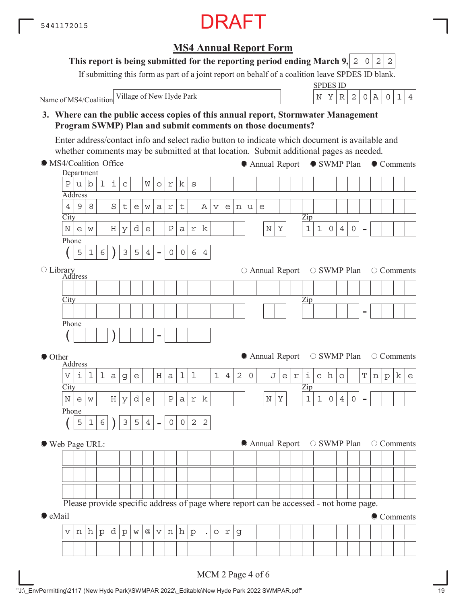**MS4 Annual Report Form**

**This report is being submitted for the reporting period ending March 9, 2 0 2 2** 

If submitting this form as part of a joint report on behalf of a coalition leave SPDES ID blank.

Name of MS4/Coalition Village of New Hyde Park  $\left| N \right| X \left| R \right| 2 \left| 0 \right| A \left| 0 \right| 1 \left| 4 \right|$ 

SPDES ID

#### **3. Where can the public access copies of this annual report, Stormwater Management Program SWMP) Plan and submit comments on those documents? City** Department Address Zip - Phone  $(|5|1|6|)|3|5|4| -$ **City** Address Library Zip - Phone ( ) - **City** Address Zip - Phone  $(|516|)|354|$ MS4/Coalition Office ● Other Web Page URL:  $\bullet$  eMail Please provide specific address of page where report can be accessed - not home page. ● Annual Report ● SWMP Plan ● Comments  $\circ$  Annual Report  $\circ$  SWMP Plan  $\circ$  Comments  $\bullet$  Annual Report  $\circ$  SWMP Plan  $\circ$  Comments  $\bullet$  Annual Report  $\circ$  SWMP Plan  $\circ$  Comments Comments Enter address/contact info and select radio button to indicate which document is available and whether comments may be submitted at that location. Submit additional pages as needed.  $P|u|b|1|i|c|$   $W|o|r|k|s$  $4|9|8|$  Stewart Avenue  $\texttt{N}\!\mid\! \texttt{e}\!\mid\! \texttt{w}\!\mid\! |\texttt{H}\!\mid\! \texttt{y}\!\mid\! \texttt{d}\!\mid\! \texttt{e}\!\mid\! |\texttt{P}\!\mid\! \texttt{a}\!\mid\! \texttt{r}\!\mid\! \texttt{k}\!\mid\! |\texttt{I}\!\mid\! |\texttt{N}\!\mid\! \texttt{Y}\!\mid\! |\texttt{1}\!\mid\! \texttt{1}\!\mid\! \texttt{0}\!\mid\! \texttt{4}\!\mid\! \texttt{0}$  $5|1|6|$  )  $|3|5|4$  - 0064  $V|$ i|l| $a|g|e|$  |H $|a|1|1|$  |1 $|4|2|0|$  |J $|e|r|$ i $|c|h|o|$  |T $|n|p|k|e$  $N\left\lfloor \frac{\mathsf{N}}{\mathsf{N}}\right\rfloor \leq N \left\lfloor \frac{\mathsf{N}}{\mathsf{N}}\right\rfloor \leq \frac{N}{N} \left\lfloor \frac{\mathsf{N}}{\mathsf{N}}\right\rfloor \leq \frac{N}{N} \left\lfloor \frac{\mathsf{N}}{\mathsf{N}}\right\rfloor \leq \frac{N}{N} \left\lfloor \frac{\mathsf{N}}{\mathsf{N}}\right\rfloor \leq \frac{N}{N} \left\lfloor \frac{\mathsf{N}}{\mathsf{N}}\right\rfloor \leq \frac{N}{N} \left\lfloor \frac{\mathsf{N}}{\mathsf{N}}\right$  $5|1|6|$  )  $|3|5|4$  -  $|0|0|2|2$  $v | n | h | p | d | p | w | @ | v | n | h | p | . | o | r | g$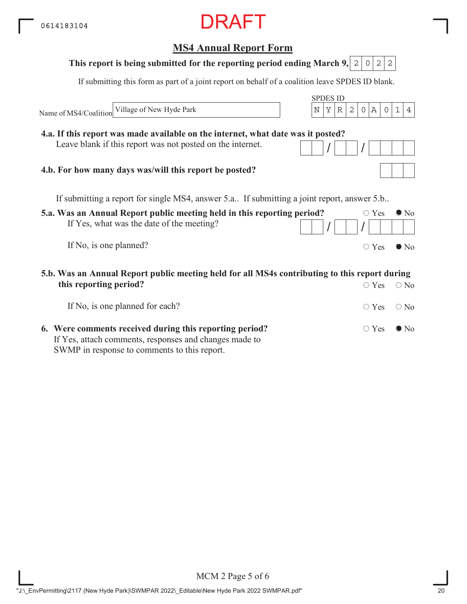# **MS4 Annual Report Form**

 $\Gamma$  $\overline{\phantom{a}}$  $\top$  $\top$ 

| This report is being submitted for the reporting period ending March 9, 2                                               | 2<br>2<br>$\Omega$                               |
|-------------------------------------------------------------------------------------------------------------------------|--------------------------------------------------|
| If submitting this form as part of a joint report on behalf of a coalition leave SPDES ID blank.                        |                                                  |
|                                                                                                                         | <b>SPDES ID</b>                                  |
| Village of New Hyde Park<br>N<br>Name of MS4/Coalition                                                                  | А<br>Υ<br>2<br>R<br>$\circ$<br>$\circ$<br>1<br>4 |
| 4.a. If this report was made available on the internet, what date was it posted?                                        |                                                  |
| Leave blank if this report was not posted on the internet.                                                              |                                                  |
| 4.b. For how many days was/will this report be posted?                                                                  |                                                  |
| If submitting a report for single MS4, answer 5.a If submitting a joint report, answer 5.b                              |                                                  |
| 5.a. Was an Annual Report public meeting held in this reporting period?                                                 | $\bigcirc$ Yes<br>$\bullet$ No                   |
| If Yes, what was the date of the meeting?                                                                               |                                                  |
| If No, is one planned?                                                                                                  | $\bigcirc$ Yes<br>$\bullet$ No                   |
| 5.b. Was an Annual Report public meeting held for all MS4s contributing to this report during<br>this reporting period? | $\bigcirc$ Yes<br>$\bigcirc$ No                  |
|                                                                                                                         |                                                  |
| If No, is one planned for each?                                                                                         | $\bigcirc$ Yes<br>$\bigcirc$ No                  |
| 6. Were comments received during this reporting period?                                                                 | $\circ$ Yes<br>$\bullet$ No                      |

**6. Were comments received during this reporting period?** If Yes, attach comments, responses and changes made to SWMP in response to comments to this report.

MCM 2 Page 5 of 6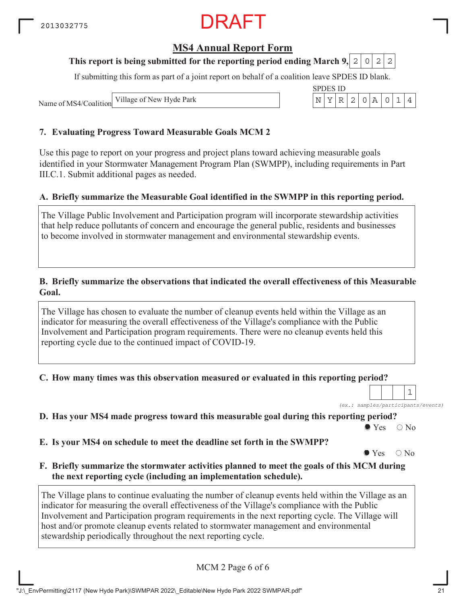### **MS4 Annual Report Form**

#### **This report is being submitted for the reporting period ending March 9, 2 0 2 2**

If submitting this form as part of a joint report on behalf of a coalition leave SPDES ID blank.

SPDES ID

Name of MS4/Coalition Village of New Hyde Park N YR 2 0A 014

#### **7. Evaluating Progress Toward Measurable Goals MCM 2**

Use this page to report on your progress and project plans toward achieving measurable goals identified in your Stormwater Management Program Plan (SWMPP), including requirements in Part III.C.1. Submit additional pages as needed.

#### **A. Briefly summarize the Measurable Goal identified in the SWMPP in this reporting period.**

The Village Public Involvement and Participation program will incorporate stewardship activities that help reduce pollutants of concern and encourage the general public, residents and businesses to become involved in stormwater management and environmental stewardship events.

#### **B. Briefly summarize the observations that indicated the overall effectiveness of this Measurable Goal.**

The Village has chosen to evaluate the number of cleanup events held within the Village as an indicator for measuring the overall effectiveness of the Village's compliance with the Public Involvement and Participation program requirements. There were no cleanup events held this reporting cycle due to the continued impact of COVID-19.

**C. How many times was this observation measured or evaluated in this reporting period?**

*(ex.: samples/participants/events)* 1

**D. Has your MS4 made progress toward this measurable goal during this reporting period?**

 $\bullet$  Yes  $\circ$  No

**E. Is your MS4 on schedule to meet the deadline set forth in the SWMPP?**

 $\bullet$  Yes  $\circ$  No

**F. Briefly summarize the stormwater activities planned to meet the goals of this MCM during the next reporting cycle (including an implementation schedule).**

The Village plans to continue evaluating the number of cleanup events held within the Village as an indicator for measuring the overall effectiveness of the Village's compliance with the Public Involvement and Participation program requirements in the next reporting cycle. The Village will host and/or promote cleanup events related to stormwater management and environmental stewardship periodically throughout the next reporting cycle.

MCM 2 Page 6 of 6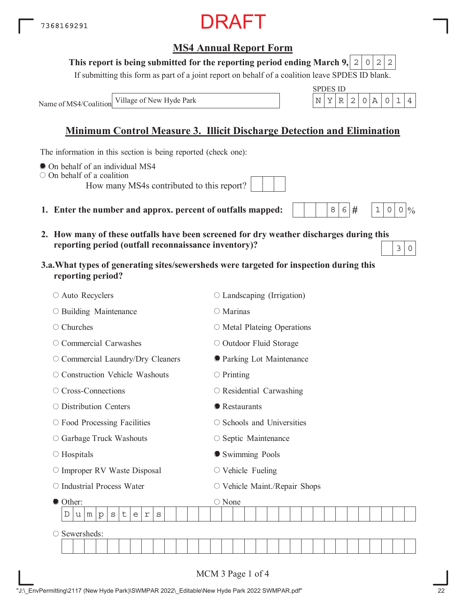## **MS4 Annual Report Form**

#### **This report is being submitted for the reporting period ending March 9,**  $0|2|2$

If submitting this form as part of a joint report on behalf of a coalition leave SPDES ID blank.

SPDES ID

 $8|6|#$ 

 $1 \, | \, 0 \, | \, 0 \, | \, 0$ 

Name of MS4/Coalition Village of New Hyde Park  $\vert N \vert Y \vert R \vert 2 \vert 0 \vert A \vert 0 \vert 1 \vert 4$ 

# **Minimum Control Measure 3. Illicit Discharge Detection and Elimination**

The information in this section is being reported (check one):

- On behalf of an individual MS4
- On behalf of a coalition

How many MS4s contributed to this report?

- **1. Enter the number and approx. percent of outfalls mapped:**
- **2. How many of these outfalls have been screened for dry weather discharges during this reporting period (outfall reconnaissance inventory)?**  $3 | 0$
- **3.a.What types of generating sites/sewersheds were targeted for inspection during this reporting period?**

| ○ Auto Recyclers                                                               | $\circ$ Landscaping (Irrigation)  |
|--------------------------------------------------------------------------------|-----------------------------------|
| O Building Maintenance                                                         | ○ Marinas                         |
| $\circ$ Churches                                                               | $\circ$ Metal Plateing Operations |
| $\circ$ Commercial Carwashes                                                   | O Outdoor Fluid Storage           |
| O Commercial Laundry/Dry Cleaners                                              | <b>O</b> Parking Lot Maintenance  |
| ○ Construction Vehicle Washouts                                                | $\circ$ Printing                  |
| ○ Cross-Connections                                                            | $\circ$ Residential Carwashing    |
| $\circ$ Distribution Centers                                                   | • Restaurants                     |
| $\circ$ Food Processing Facilities                                             | $\circ$ Schools and Universities  |
| ○ Garbage Truck Washouts                                                       | ○ Septic Maintenance              |
| $\circ$ Hospitals                                                              | Swimming Pools                    |
| O Improper RV Waste Disposal                                                   | $\circ$ Vehicle Fueling           |
| O Industrial Process Water                                                     | ○ Vehicle Maint./Repair Shops     |
| Other:                                                                         | ○ None                            |
| $\mathsf t$<br>D<br>S<br>e<br>$\mathbf r$<br>$\rm s$<br>m<br>$\mathbf{p}$<br>u |                                   |
| Sewersheds:                                                                    |                                   |
|                                                                                |                                   |
|                                                                                |                                   |
|                                                                                | MCM 3 Page 1 of 4                 |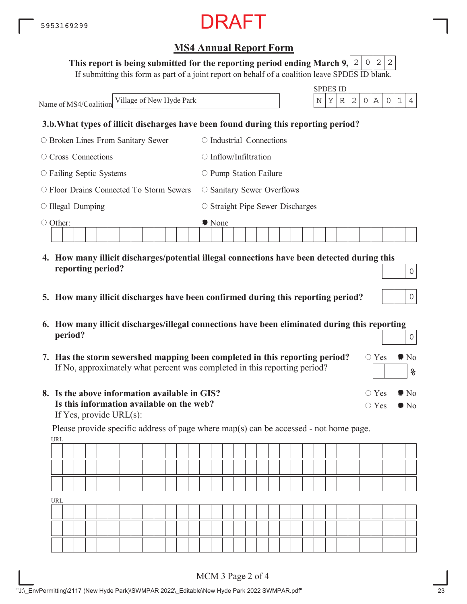#### This report is being submitted for the reporting period ending March 9,  $\mid$  2  $\mid$  0  $\mid$  2  $\mid$  2

If submitting this form as part of a joint report on behalf of a coalition leave SPDES ID blank.

SPDES ID Name of MS4/Coalition **3.b.What types of illicit discharges have been found during this reporting period?** Broken Lines From Sanitary Sewer O Cross Connections  $\circ$  Failing Septic Systems O Floor Drains Connected To Storm Sewers  $\circ$  Illegal Dumping Other:  $\circ$  Industrial Connections  $\bigcirc$  Inflow/Infiltration  $\circ$  Pump Station Failure O Sanitary Sewer Overflows  $\circ$  Straight Pipe Sewer Discharges ● None **4. How many illicit discharges/potential illegal connections have been detected during this reporting period?** Village of New Hyde Park N YR 2 0A 014 0

- **5. How many illicit discharges have been confirmed during this reporting period?**
- **6. How many illicit discharges/illegal connections have been eliminated during this reporting period?** 0
- **7. Has the storm sewershed mapping been completed in this reporting period?** If No, approximately what percent was completed in this reporting period?
- **8. Is the above information available in GIS? Is this information available on the web?** If Yes, provide URL(s):

URL Please provide specific address of page where map(s) can be accessed - not home page.

| URL |  |  |  |  |  |  |  |  |  |  |  |  |  |  |  |  |
|-----|--|--|--|--|--|--|--|--|--|--|--|--|--|--|--|--|
|     |  |  |  |  |  |  |  |  |  |  |  |  |  |  |  |  |
|     |  |  |  |  |  |  |  |  |  |  |  |  |  |  |  |  |
|     |  |  |  |  |  |  |  |  |  |  |  |  |  |  |  |  |

 $\circ$  Yes  $\bullet$  No

 $\circ$  Yes  $\bullet$  No

 $\circ$  Yes  $\bullet$  No

**%**

0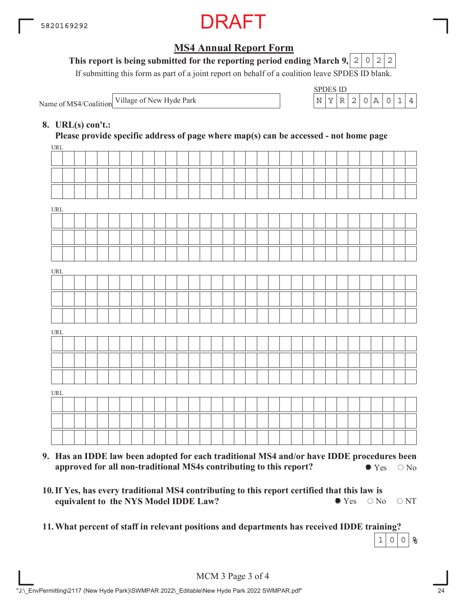

#### This report is being submitted for the reporting period ending March 9,  $\mid$  2  $\mid$  0  $\mid$  2  $\mid$  2

If submitting this form as part of a joint report on behalf of a coalition leave SPDES ID blank.

Name of MS4/Coalition Village of New Hyde Park

| SPDES ID |  |               |  |  |  |
|----------|--|---------------|--|--|--|
|          |  | $\mathcal{L}$ |  |  |  |

#### **8. URL(s) con't.:**

 $IDI$ **Please provide specific address of page where map(s) can be accessed - not home page**

| UKL |  |  |  |  |  |  |  |  |  |  |  |  |  |  |  |  |
|-----|--|--|--|--|--|--|--|--|--|--|--|--|--|--|--|--|
|     |  |  |  |  |  |  |  |  |  |  |  |  |  |  |  |  |
|     |  |  |  |  |  |  |  |  |  |  |  |  |  |  |  |  |
|     |  |  |  |  |  |  |  |  |  |  |  |  |  |  |  |  |
|     |  |  |  |  |  |  |  |  |  |  |  |  |  |  |  |  |
| URL |  |  |  |  |  |  |  |  |  |  |  |  |  |  |  |  |
|     |  |  |  |  |  |  |  |  |  |  |  |  |  |  |  |  |
|     |  |  |  |  |  |  |  |  |  |  |  |  |  |  |  |  |
|     |  |  |  |  |  |  |  |  |  |  |  |  |  |  |  |  |
| URL |  |  |  |  |  |  |  |  |  |  |  |  |  |  |  |  |
|     |  |  |  |  |  |  |  |  |  |  |  |  |  |  |  |  |
|     |  |  |  |  |  |  |  |  |  |  |  |  |  |  |  |  |
|     |  |  |  |  |  |  |  |  |  |  |  |  |  |  |  |  |
|     |  |  |  |  |  |  |  |  |  |  |  |  |  |  |  |  |
| URL |  |  |  |  |  |  |  |  |  |  |  |  |  |  |  |  |
|     |  |  |  |  |  |  |  |  |  |  |  |  |  |  |  |  |
|     |  |  |  |  |  |  |  |  |  |  |  |  |  |  |  |  |
|     |  |  |  |  |  |  |  |  |  |  |  |  |  |  |  |  |
|     |  |  |  |  |  |  |  |  |  |  |  |  |  |  |  |  |
| URL |  |  |  |  |  |  |  |  |  |  |  |  |  |  |  |  |
|     |  |  |  |  |  |  |  |  |  |  |  |  |  |  |  |  |
|     |  |  |  |  |  |  |  |  |  |  |  |  |  |  |  |  |
|     |  |  |  |  |  |  |  |  |  |  |  |  |  |  |  |  |
|     |  |  |  |  |  |  |  |  |  |  |  |  |  |  |  |  |

- **9. Has an IDDE law been adopted for each traditional MS4 and/or have IDDE procedures been approved for all non-traditional MS4s contributing to this report?**  $\bullet$  Yes  $\circ$  No
- **10. If Yes, has every traditional MS4 contributing to this report certified that this law is equivalent to the NYS Model IDDE Law?**  $\bullet$  Yes  $\circ$  No  $\circ$  NT
- **11.What percent of staff in relevant positions and departments has received IDDE training?**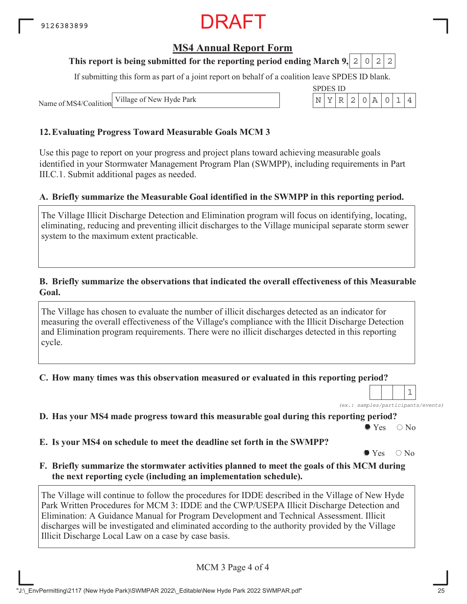### **MS4 Annual Report Form**

#### **This report is being submitted for the reporting period ending March 9, 2 0 2 2**

If submitting this form as part of a joint report on behalf of a coalition leave SPDES ID blank.

SPDES ID

Name of MS4/Coalition Village of New Hyde Park N YR 2 0A 014

#### **12.Evaluating Progress Toward Measurable Goals MCM 3**

Use this page to report on your progress and project plans toward achieving measurable goals identified in your Stormwater Management Program Plan (SWMPP), including requirements in Part III.C.1. Submit additional pages as needed.

#### **A. Briefly summarize the Measurable Goal identified in the SWMPP in this reporting period.**

The Village Illicit Discharge Detection and Elimination program will focus on identifying, locating, eliminating, reducing and preventing illicit discharges to the Village municipal separate storm sewer system to the maximum extent practicable.

#### **B. Briefly summarize the observations that indicated the overall effectiveness of this Measurable Goal.**

The Village has chosen to evaluate the number of illicit discharges detected as an indicator for measuring the overall effectiveness of the Village's compliance with the Illicit Discharge Detection and Elimination program requirements. There were no illicit discharges detected in this reporting cycle.

**C. How many times was this observation measured or evaluated in this reporting period?**

*(ex.: samples/participants/events)* 1

**D. Has your MS4 made progress toward this measurable goal during this reporting period?**

 $\bullet$  Yes  $\circ$  No

**E. Is your MS4 on schedule to meet the deadline set forth in the SWMPP?**

 $\bullet$  Yes  $\circ$  No

**F. Briefly summarize the stormwater activities planned to meet the goals of this MCM during the next reporting cycle (including an implementation schedule).**

The Village will continue to follow the procedures for IDDE described in the Village of New Hyde Park Written Procedures for MCM 3: IDDE and the CWP/USEPA Illicit Discharge Detection and Elimination: A Guidance Manual for Program Development and Technical Assessment. Illicit discharges will be investigated and eliminated according to the authority provided by the Village Illicit Discharge Local Law on a case by case basis.

MCM 3 Page 4 of 4

"J:\\_EnvPermitting\2117 (New Hyde Park)\SWMPAR 2022\\_Editable\New Hyde Park 2022 SWMPAR.pdf" 25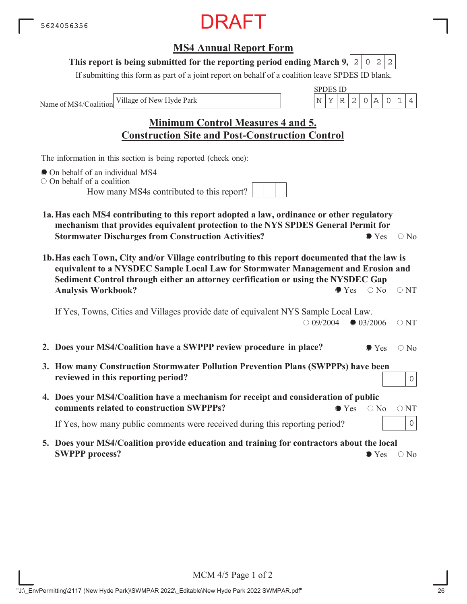### **MS4 Annual Report Form**

#### This report is being submitted for the reporting period ending March 9,  $|2|0|2|2$

If submitting this form as part of a joint report on behalf of a coalition leave SPDES ID blank.

Name of MS4/Coalition

SPDES ID Village of New Hyde Park  $\vert N \vert Y \vert R \vert 2 \vert 0 \vert A \vert 0 \vert 1 \vert 4$ 

# **Minimum Control Measures 4 and 5. Construction Site and Post-Construction Control**

The information in this section is being reported (check one):

- On behalf of an individual MS4
- O On behalf of a coalition

How many MS4s contributed to this report?

- **1a.Has each MS4 contributing to this report adopted a law, ordinance or other regulatory mechanism that provides equivalent protection to the NYS SPDES General Permit for Stormwater Discharges from Construction Activities?**  $\bullet$  Yes  $\circ$  No
- **1b.Has each Town, City and/or Village contributing to this report documented that the law is equivalent to a NYSDEC Sample Local Law for Stormwater Management and Erosion and Sediment Control through either an attorney cerfification or using the NYSDEC Gap Analysis Workbook?**  $\bullet$  Yes  $\circ$  No  $\circ$  NT

If Yes, Towns, Cities and Villages provide date of equivalent NYS Sample Local Law.  $\bigcirc$  09/2004  $\bigcirc$  03/2006  $\bigcirc$  NT

- **2. Does your MS4/Coalition have a SWPPP review procedure in place?**  $\bullet$  Yes  $\circ$  No
- **3. How many Construction Stormwater Pollution Prevention Plans (SWPPPs) have been reviewed in this reporting period?**
- **4. Does your MS4/Coalition have a mechanism for receipt and consideration of public comments related to construction SWPPPs?**  $\bullet$  Yes  $\circ$  No  $\circ$  NT

If Yes, how many public comments were received during this reporting period?

**5. Does your MS4/Coalition provide education and training for contractors about the local SWPPP process?**  $\bullet$  Yes  $\circ$  No

0

0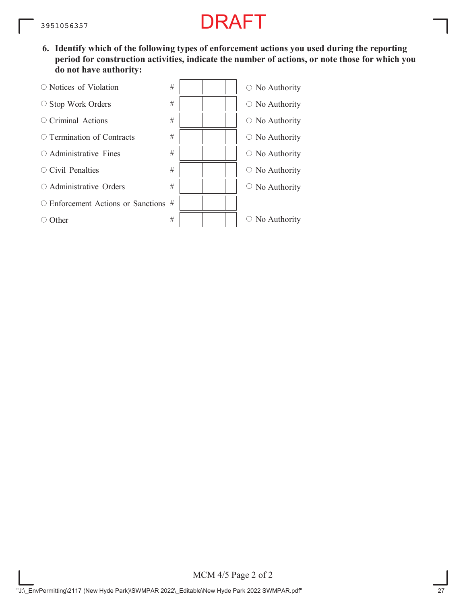**6. Identify which of the following types of enforcement actions you used during the reporting period for construction activities, indicate the number of actions, or note those for which you do not have authority:**

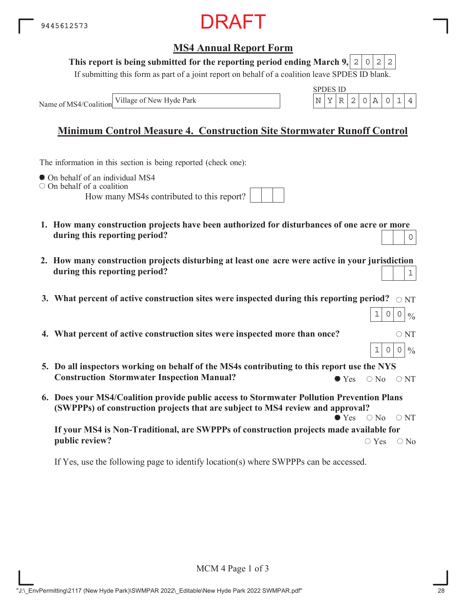

#### This report is being submitted for the reporting period ending March 9,  $|2|0|2|2$

If submitting this form as part of a joint report on behalf of a coalition leave SPDES ID blank.

Name of MS4/Coalition Village of New Hyde Park

|  | S 11 D |  |  |  |
|--|--------|--|--|--|
|  |        |  |  |  |

# **Minimum Control Measure 4. Construction Site Stormwater Runoff Control**

The information in this section is being reported (check one):

 $\bullet$  On behalf of an individual MS4

 $\circ$  On behalf of a coalition

How many MS4s contributed to this report?

- **1. How many construction projects have been authorized for disturbances of one acre or more during this reporting period?** 0
- **2. How many construction projects disturbing at least one acre were active in your jurisdiction during this reporting period?** 1
- 3. What percent of active construction sites were inspected during this reporting period?  $\,\circ$   $_{\rm NT}$
- **4. What percent of active construction sites were inspected more than once?**  $\circ$  NT
- **5. Do all inspectors working on behalf of the MS4s contributing to this report use the NYS Construction Stormwater Inspection Manual?**  $\bullet$  Yes  $\circ$  No  $\circ$  NT
- **6. Does your MS4/Coalition provide public access to Stormwater Pollution Prevention Plans (SWPPPs) of construction projects that are subject to MS4 review and approval?**  $\bullet$  Yes  $\circ$  No  $\circ$  NT

**If your MS4 is Non-Traditional, are SWPPPs of construction projects made available for public review?**  $\bigcirc$  Yes  $\bigcirc$  No

If Yes, use the following page to identify location(s) where SWPPPs can be accessed.

 $|_{0/2}$ 

 $1|0|0|\%$ 

 $1|0|0|$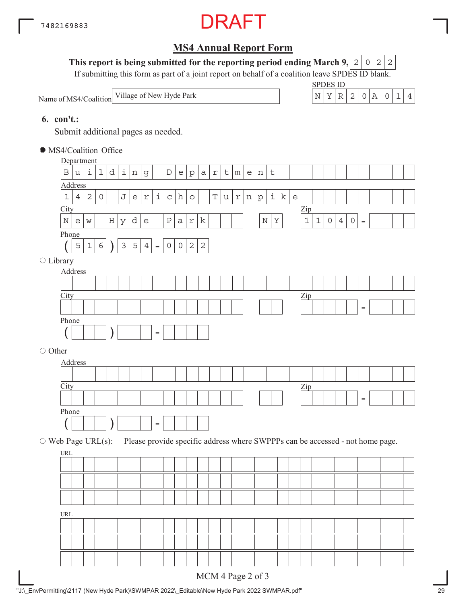

#### This report is being submitted for the reporting period ending March 9,  $|2|0|2|2$

If submitting this form as part of a joint report on behalf of a coalition leave SPDES ID blank.

Name of MS4/Coalition



#### **6. con't.:**

Submit additional pages as needed.

MS4/Coalition Office

|                          | Department                         |                |              |              |         |              |                                   |                                                   |                    |              |                                   |                |                |            |              |                 |                                                   |         |                    |             |                                                                     |                                                                               |             |                     |                |                     |                          |  |  |  |
|--------------------------|------------------------------------|----------------|--------------|--------------|---------|--------------|-----------------------------------|---------------------------------------------------|--------------------|--------------|-----------------------------------|----------------|----------------|------------|--------------|-----------------|---------------------------------------------------|---------|--------------------|-------------|---------------------------------------------------------------------|-------------------------------------------------------------------------------|-------------|---------------------|----------------|---------------------|--------------------------|--|--|--|
|                          | $\, {\bf B}$                       | u              | i            | 1            | d       | $\perp$      | $\,$ $\,$ $\,$                    | $\mathsf g$                                       |                    | $\mathbb D$  | $\mathsf{e}% _{t}\left( t\right)$ | ${\tt p}$      | $\mbox{\tt a}$ | $\Upsilon$ | $\mathsf t$  | ${\mathfrak m}$ | $\mathsf{e}% _{t}\!\left( \mathcal{A}_{t}\right)$ | n       | $\mathsf{t}$       |             |                                                                     |                                                                               |             |                     |                |                     |                          |  |  |  |
|                          | Address                            |                |              |              |         |              |                                   |                                                   |                    |              |                                   |                |                |            |              |                 |                                                   |         |                    |             |                                                                     |                                                                               |             |                     |                |                     |                          |  |  |  |
|                          | $\mathbf 1$                        | $\overline{4}$ | $\sqrt{2}$   | $\mathsf{O}$ |         | J            | $\mathsf{e}% _{t}\left( t\right)$ | $\Upsilon$                                        | $\dot{\mathtt{l}}$ | $\mathtt{C}$ | h                                 | $\circ$        |                | T          | $\mathtt{u}$ | $\Upsilon$      | $\,$ $\,$ $\,$                                    | $\rm p$ | $\dot{\mathtt{l}}$ | $\mathbf k$ | $\mathsf{e}% _{t}\!\left( t\right) \mathsf{e}_{t}\!\left( t\right)$ |                                                                               |             |                     |                |                     |                          |  |  |  |
|                          | City                               |                |              |              |         |              |                                   |                                                   |                    |              |                                   |                |                |            |              |                 |                                                   |         |                    |             |                                                                     | $\mathop{\mathrm{Zip}}$                                                       |             |                     |                |                     |                          |  |  |  |
|                          | $\mathbb N$                        | e              | $\mathsf{W}$ |              | $\rm H$ | $\mathbf{Y}$ | d                                 | $\mathsf{e}% _{t}\!\left( \mathcal{A}_{t}\right)$ |                    | $\, {\bf P}$ | $\mathsf{a}$                      | $\mathtt{r}$   | $\rm k$        |            |              |                 |                                                   | $\rm N$ | $\rm Y$            |             |                                                                     | $\mathbf 1$                                                                   | $\mathbf 1$ | $\mathsf{O}\xspace$ | $\overline{4}$ | $\mathsf{O}\xspace$ | $\overline{\phantom{a}}$ |  |  |  |
|                          | Phone                              |                |              |              |         |              |                                   |                                                   |                    |              |                                   |                |                |            |              |                 |                                                   |         |                    |             |                                                                     |                                                                               |             |                     |                |                     |                          |  |  |  |
|                          |                                    | 5              | $1\,$        | $\sqrt{6}$   |         | $\mathsf 3$  | $\overline{5}$                    | $4\,$                                             | $\equiv$           | $\circ$      | $\circ$                           | $\overline{c}$ | $\sqrt{2}$     |            |              |                 |                                                   |         |                    |             |                                                                     |                                                                               |             |                     |                |                     |                          |  |  |  |
| $\bigcirc$ Library       |                                    |                |              |              |         |              |                                   |                                                   |                    |              |                                   |                |                |            |              |                 |                                                   |         |                    |             |                                                                     |                                                                               |             |                     |                |                     |                          |  |  |  |
|                          | Address                            |                |              |              |         |              |                                   |                                                   |                    |              |                                   |                |                |            |              |                 |                                                   |         |                    |             |                                                                     |                                                                               |             |                     |                |                     |                          |  |  |  |
|                          |                                    |                |              |              |         |              |                                   |                                                   |                    |              |                                   |                |                |            |              |                 |                                                   |         |                    |             |                                                                     |                                                                               |             |                     |                |                     |                          |  |  |  |
|                          | City                               |                |              |              |         |              |                                   |                                                   |                    |              |                                   |                |                |            |              |                 |                                                   |         |                    |             |                                                                     | $\mathbf{Zip}$                                                                |             |                     |                |                     |                          |  |  |  |
|                          |                                    |                |              |              |         |              |                                   |                                                   |                    |              |                                   |                |                |            |              |                 |                                                   |         |                    |             |                                                                     |                                                                               |             |                     |                |                     | -                        |  |  |  |
|                          |                                    |                |              |              |         |              |                                   |                                                   |                    |              |                                   |                |                |            |              |                 |                                                   |         |                    |             |                                                                     |                                                                               |             |                     |                |                     |                          |  |  |  |
|                          |                                    |                |              |              |         |              |                                   |                                                   |                    |              |                                   |                |                |            |              |                 |                                                   |         |                    |             |                                                                     |                                                                               |             |                     |                |                     |                          |  |  |  |
|                          | Phone<br>○ Other<br>Address        |                |              |              |         |              |                                   |                                                   |                    |              |                                   |                |                |            |              |                 |                                                   |         |                    |             |                                                                     |                                                                               |             |                     |                |                     |                          |  |  |  |
|                          |                                    |                |              |              |         |              |                                   |                                                   |                    |              |                                   |                |                |            |              |                 |                                                   |         |                    |             |                                                                     |                                                                               |             |                     |                |                     |                          |  |  |  |
|                          |                                    |                |              |              |         |              |                                   |                                                   |                    |              |                                   |                |                |            |              |                 |                                                   |         |                    |             |                                                                     |                                                                               |             |                     |                |                     |                          |  |  |  |
|                          |                                    |                |              |              |         |              |                                   |                                                   |                    |              |                                   |                |                |            |              |                 |                                                   |         |                    |             |                                                                     |                                                                               |             |                     |                |                     |                          |  |  |  |
|                          | City                               |                |              |              |         |              |                                   |                                                   |                    |              |                                   |                |                |            |              |                 |                                                   |         |                    |             |                                                                     | $\mathbf{Zip}$                                                                |             |                     |                |                     |                          |  |  |  |
|                          | Phone                              |                |              |              |         |              |                                   |                                                   |                    |              |                                   |                |                |            |              |                 |                                                   |         |                    |             |                                                                     |                                                                               |             |                     |                |                     |                          |  |  |  |
|                          |                                    |                |              |              |         |              |                                   |                                                   |                    |              |                                   |                |                |            |              |                 |                                                   |         |                    |             |                                                                     |                                                                               |             |                     |                |                     |                          |  |  |  |
|                          |                                    |                |              |              |         |              |                                   |                                                   |                    |              |                                   |                |                |            |              |                 |                                                   |         |                    |             |                                                                     |                                                                               |             |                     |                |                     |                          |  |  |  |
| $\circ$ Web Page URL(s): |                                    |                |              |              |         |              |                                   |                                                   |                    |              |                                   |                |                |            |              |                 |                                                   |         |                    |             |                                                                     | Please provide specific address where SWPPPs can be accessed - not home page. |             |                     |                |                     |                          |  |  |  |
|                          | URL                                |                |              |              |         |              |                                   |                                                   |                    |              |                                   |                |                |            |              |                 |                                                   |         |                    |             |                                                                     |                                                                               |             |                     |                |                     |                          |  |  |  |
|                          |                                    |                |              |              |         |              |                                   |                                                   |                    |              |                                   |                |                |            |              |                 |                                                   |         |                    |             |                                                                     |                                                                               |             |                     |                |                     |                          |  |  |  |
|                          |                                    |                |              |              |         |              |                                   |                                                   |                    |              |                                   |                |                |            |              |                 |                                                   |         |                    |             |                                                                     |                                                                               |             |                     |                |                     |                          |  |  |  |
|                          |                                    |                |              |              |         |              |                                   |                                                   |                    |              |                                   |                |                |            |              |                 |                                                   |         |                    |             |                                                                     |                                                                               |             |                     |                |                     |                          |  |  |  |
|                          |                                    |                |              |              |         |              |                                   |                                                   |                    |              |                                   |                |                |            |              |                 |                                                   |         |                    |             |                                                                     |                                                                               |             |                     |                |                     |                          |  |  |  |
|                          | $\ensuremath{\mathsf{URL}}\xspace$ |                |              |              |         |              |                                   |                                                   |                    |              |                                   |                |                |            |              |                 |                                                   |         |                    |             |                                                                     |                                                                               |             |                     |                |                     |                          |  |  |  |
|                          |                                    |                |              |              |         |              |                                   |                                                   |                    |              |                                   |                |                |            |              |                 |                                                   |         |                    |             |                                                                     |                                                                               |             |                     |                |                     |                          |  |  |  |
|                          |                                    |                |              |              |         |              |                                   |                                                   |                    |              |                                   |                |                |            |              |                 |                                                   |         |                    |             |                                                                     |                                                                               |             |                     |                |                     |                          |  |  |  |
|                          |                                    |                |              |              |         |              |                                   |                                                   |                    |              |                                   |                |                |            |              |                 |                                                   |         |                    |             |                                                                     |                                                                               |             |                     |                |                     |                          |  |  |  |
|                          |                                    |                |              |              |         |              |                                   |                                                   |                    |              |                                   |                |                |            |              |                 |                                                   |         |                    |             |                                                                     |                                                                               |             |                     |                |                     |                          |  |  |  |
|                          |                                    |                |              |              |         |              |                                   |                                                   |                    |              |                                   |                |                |            |              |                 | MCM 4 Page 2 of 3                                 |         |                    |             |                                                                     |                                                                               |             |                     |                |                     |                          |  |  |  |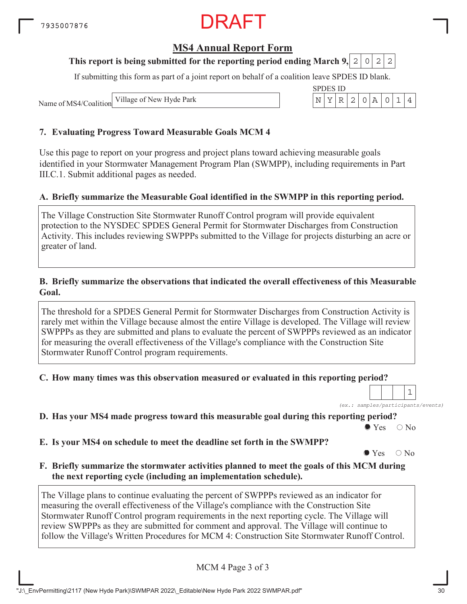### **MS4 Annual Report Form**

#### **This report is being submitted for the reporting period ending March 9, 2 0 2 2**

If submitting this form as part of a joint report on behalf of a coalition leave SPDES ID blank.

SPDES ID

Name of MS4/Coalition Village of New Hyde Park N YR 2 0A 014

#### **7. Evaluating Progress Toward Measurable Goals MCM 4**

Use this page to report on your progress and project plans toward achieving measurable goals identified in your Stormwater Management Program Plan (SWMPP), including requirements in Part III.C.1. Submit additional pages as needed.

#### **A. Briefly summarize the Measurable Goal identified in the SWMPP in this reporting period.**

The Village Construction Site Stormwater Runoff Control program will provide equivalent protection to the NYSDEC SPDES General Permit for Stormwater Discharges from Construction Activity. This includes reviewing SWPPPs submitted to the Village for projects disturbing an acre or greater of land.

#### **B. Briefly summarize the observations that indicated the overall effectiveness of this Measurable Goal.**

The threshold for a SPDES General Permit for Stormwater Discharges from Construction Activity is rarely met within the Village because almost the entire Village is developed. The Village will review SWPPPs as they are submitted and plans to evaluate the percent of SWPPPs reviewed as an indicator for measuring the overall effectiveness of the Village's compliance with the Construction Site Stormwater Runoff Control program requirements.

**C. How many times was this observation measured or evaluated in this reporting period?**

*(ex.: samples/participants/events)* 1

**D. Has your MS4 made progress toward this measurable goal during this reporting period?**

 $\bullet$  Yes  $\circ$  No

**E. Is your MS4 on schedule to meet the deadline set forth in the SWMPP?**

 $\bullet$  Yes  $\circ$  No

**F. Briefly summarize the stormwater activities planned to meet the goals of this MCM during the next reporting cycle (including an implementation schedule).**

The Village plans to continue evaluating the percent of SWPPPs reviewed as an indicator for measuring the overall effectiveness of the Village's compliance with the Construction Site Stormwater Runoff Control program requirements in the next reporting cycle. The Village will review SWPPPs as they are submitted for comment and approval. The Village will continue to follow the Village's Written Procedures for MCM 4: Construction Site Stormwater Runoff Control.

MCM 4 Page 3 of 3

"J:\\_EnvPermitting\2117 (New Hyde Park)\SWMPAR 2022\\_Editable\New Hyde Park 2022 SWMPAR.pdf" 30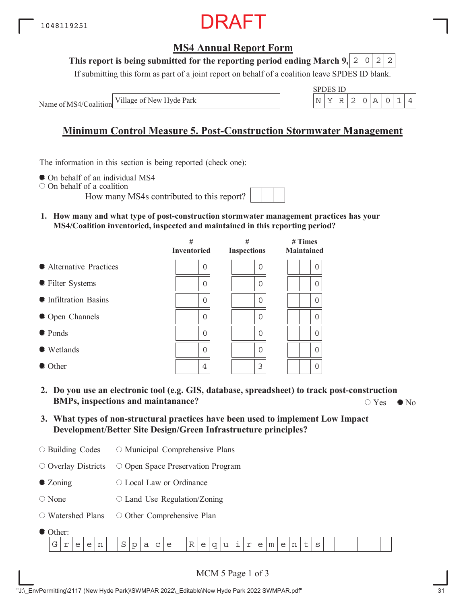

#### **This report is being submitted for the reporting period ending March 9,**  $2|0|2|2$

If submitting this form as part of a joint report on behalf of a coalition leave SPDES ID blank.

Name of MS4/Coalition Village of New Hyde Park

$$
\begin{array}{c|c|c|c|c|c} \text{SPDES ID} \\ \hline N & Y & R & 2 & 0 & A & 0 & 1 & 4 \end{array}
$$

# **Minimum Control Measure 5. Post-Construction Stormwater Management**

The information in this section is being reported (check one):

 $\bullet$  On behalf of an individual MS4

On behalf of a coalition

How many MS4s contributed to this report?

**1. How many and what type of post-construction stormwater management practices has your MS4/Coalition inventoried, inspected and maintained in this reporting period?**

|                         | #<br><b>Inventoried</b> | #<br><b>Inspections</b> | $#$ Times<br><b>Maintained</b> |
|-------------------------|-------------------------|-------------------------|--------------------------------|
| • Alternative Practices | 0                       | 0                       | 0                              |
| • Filter Systems        | 0                       | 0                       | 0                              |
| • Infiltration Basins   | 0                       | 0                       | 0                              |
| • Open Channels         | 0                       | 0                       | $\Omega$                       |
| • Ponds                 | $\Omega$                | 0                       | $\Omega$                       |
| ● Wetlands              | Ω                       | 0                       | $\Omega$                       |
| $\bullet$ Other         | 4                       | 3                       | 0                              |

- **2. Do you use an electronic tool (e.g. GIS, database, spreadsheet) to track post-construction BMPs, inspections and maintanance?**  $\bigcirc$  Yes  $\bigcirc$  No  $\bigcirc$  Yes  $\bigcirc$  No
- **3. What types of non-structural practices have been used to implement Low Impact Development/Better Site Design/Green Infrastructure principles?**
- Building Codes O Municipal Comprehensive Plans

 $\circ$  Overlay Districts O Open Space Preservation Program

- Zoning Local Law or Ordinance
- None  $\circ$  Land Use Regulation/Zoning
- Watershed Plans O Other Comprehensive Plan
- Other:

| $\sim$<br>$-$<br>-<br>--<br>--<br>-<br>. .<br>~<br>∽<br>~<br>∼<br><br>◡<br>ີ<br>--<br>--<br>$\overline{\phantom{0}}$<br>-<br>- | <u>.</u> |  |  |  |  |  |  |  |  |  |  |  |  |  |  |  |
|--------------------------------------------------------------------------------------------------------------------------------|----------|--|--|--|--|--|--|--|--|--|--|--|--|--|--|--|
|                                                                                                                                |          |  |  |  |  |  |  |  |  |  |  |  |  |  |  |  |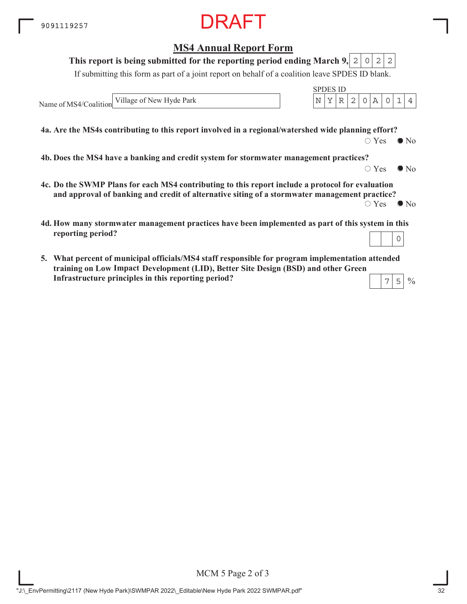#### **MS4 Annual Report Form**

#### **This report is being submitted for the reporting period ending March 9,**  $2|0|2|2$

If submitting this form as part of a joint report on behalf of a coalition leave SPDES ID blank.

Name of MS4/Coalition Village of New Hyde Park  $\vert N \vert Y \vert R \vert 2 \vert 0 \vert A \vert 0 \vert 1 \vert 4$ 

**4a. Are the MS4s contributing to this report involved in a regional/watershed wide planning effort?**

 $\bigcirc$  Yes  $\bigcirc$  No

 $\circ$  Yes  $\bullet$  No

 $\frac{0}{0}$ 

SPDES ID

**4b. Does the MS4 have a banking and credit system for stormwater management practices?**

- **4c. Do the SWMP Plans for each MS4 contributing to this report include a protocol for evaluation and approval of banking and credit of alternative siting of a stormwater management practice?**  $\circ$  Yes  $\bullet$  No
- **4d. How many stormwater management practices have been implemented as part of this system in this reporting period?** 0
- **5. What percent of municipal officials/MS4 staff responsible for program implementation attended training on Low Impace Development (LID), Better Site Design (BSD) and other Green ImpactInfrastructure principles in this reporting period?**  $7|5$

MCM 5 Page 2 of 3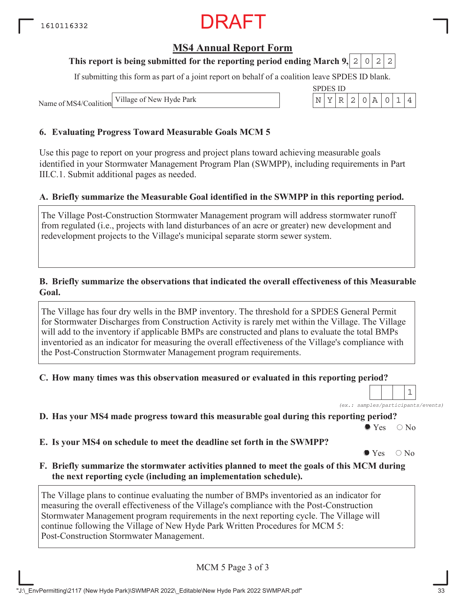# RAFT

#### **MS4 Annual Report Form**

#### **This report is being submitted for the reporting period ending March 9, 2 0 2 2**

If submitting this form as part of a joint report on behalf of a coalition leave SPDES ID blank.

SPDES ID

Name of MS4/Coalition Village of New Hyde Park N YR 2 0A 014

#### **6. Evaluating Progress Toward Measurable Goals MCM 5**

Use this page to report on your progress and project plans toward achieving measurable goals identified in your Stormwater Management Program Plan (SWMPP), including requirements in Part III.C.1. Submit additional pages as needed.

#### **A. Briefly summarize the Measurable Goal identified in the SWMPP in this reporting period.**

The Village Post-Construction Stormwater Management program will address stormwater runoff from regulated (i.e., projects with land disturbances of an acre or greater) new development and redevelopment projects to the Village's municipal separate storm sewer system.

#### **B. Briefly summarize the observations that indicated the overall effectiveness of this Measurable Goal.**

The Village has four dry wells in the BMP inventory. The threshold for a SPDES General Permit for Stormwater Discharges from Construction Activity is rarely met within the Village. The Village will add to the inventory if applicable BMPs are constructed and plans to evaluate the total BMPs inventoried as an indicator for measuring the overall effectiveness of the Village's compliance with the Post-Construction Stormwater Management program requirements.

#### **C. How many times was this observation measured or evaluated in this reporting period?**

*(ex.: samples/participants/events)*

1

**D. Has your MS4 made progress toward this measurable goal during this reporting period?**

 $\bullet$  Yes  $\circ$  No

**E. Is your MS4 on schedule to meet the deadline set forth in the SWMPP?**

 $\bullet$  Yes  $\circ$  No

**F. Briefly summarize the stormwater activities planned to meet the goals of this MCM during the next reporting cycle (including an implementation schedule).**

The Village plans to continue evaluating the number of BMPs inventoried as an indicator for measuring the overall effectiveness of the Village's compliance with the Post-Construction Stormwater Management program requirements in the next reporting cycle. The Village will continue following the Village of New Hyde Park Written Procedures for MCM 5: Post-Construction Stormwater Management.

MCM 5 Page 3 of 3

"J:\\_EnvPermitting\2117 (New Hyde Park)\SWMPAR 2022\\_Editable\New Hyde Park 2022 SWMPAR.pdf" 33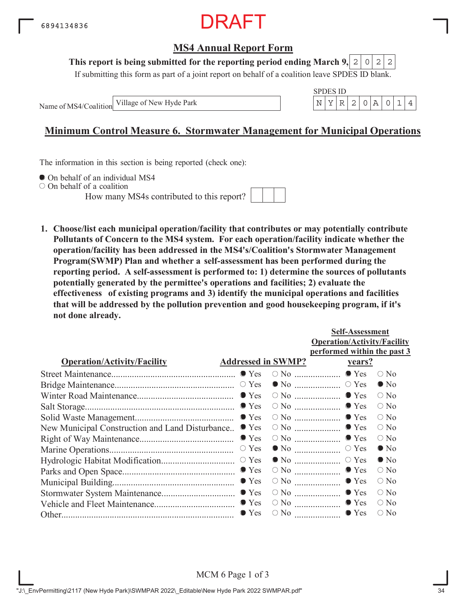

#### **This report is being submitted for the reporting period ending March 9,**  $2|0|2|2$

If submitting this form as part of a joint report on behalf of a coalition leave SPDES ID blank.

Name of MS4/Coalition

SPDES ID Village of New Hyde Park  $\vert N \vert Y \vert R \vert 2 \vert 0 \vert A \vert 0 \vert 1 \vert 4$ 

### **Minimum Control Measure 6. Stormwater Management for Municipal Operations**

The information in this section is being reported (check one):

 $\bullet$  On behalf of an individual MS4

On behalf of a coalition

How many MS4s contributed to this report?



**1. Choose/list each municipal operation/facility that contributes or may potentially contribute Pollutants of Concern to the MS4 system. For each operation/facility indicate whether the operation/facility has been addressed in the MS4's/Coalition's Stormwater Management Program(SWMP) Plan and whether a self-assessment has been performed during the reporting period. A self-assessment is performed to: 1) determine the sources of pollutants potentially generated by the permittee's operations and facilities; 2) evaluate the effectiveness of existing programs and 3) identify the municipal operations and facilities that will be addressed by the pollution prevention and good housekeeping program, if it's not done already.**

|                                                 |                           |                                                | <b>Self-Assessment</b>             |               |
|-------------------------------------------------|---------------------------|------------------------------------------------|------------------------------------|---------------|
|                                                 |                           |                                                | <b>Operation/Activity/Facility</b> |               |
|                                                 |                           |                                                | performed within the past 3        |               |
| <b>Operation/Activity/Facility</b>              | <b>Addressed in SWMP?</b> |                                                | <u>vears?</u>                      |               |
|                                                 |                           |                                                |                                    | $\bigcirc$ No |
|                                                 |                           |                                                |                                    | $\bullet$ No  |
|                                                 |                           |                                                |                                    | $\circ$ No    |
|                                                 |                           |                                                |                                    | $\bigcirc$ No |
|                                                 |                           |                                                |                                    | $\bigcirc$ No |
| New Municipal Construction and Land Disturbance | $\bullet$ Yes             |                                                | $\circ$ No $\ldots$ $\bullet$ Yes  | $\circ$ No    |
|                                                 | $\bullet$ Yes             |                                                | $\circ$ No $\ldots$ $\bullet$ Yes  | $\circ$ No    |
|                                                 | $\circ$ Yes               |                                                |                                    | $\bullet$ No  |
|                                                 |                           |                                                |                                    | $\bullet$ No  |
|                                                 |                           | $\circ$ No $\ldots$ $\ldots$ $\ldots$ $\ldots$ | $\bullet$ Yes                      | $\bigcirc$ No |
|                                                 |                           |                                                | $\bullet$ Yes                      | $\circ$ No    |
|                                                 |                           |                                                | $\circ$ No $\ldots$ $\bullet$ Yes  | $\bigcirc$ No |
|                                                 |                           |                                                | $\circ$ No $\ldots$ $\bullet$ Yes  | $\circ$ No    |
|                                                 | $\bullet$ Yes             | $\circ$ No $\ldots$                            | $\bullet$ Yes                      | $\bigcirc$ No |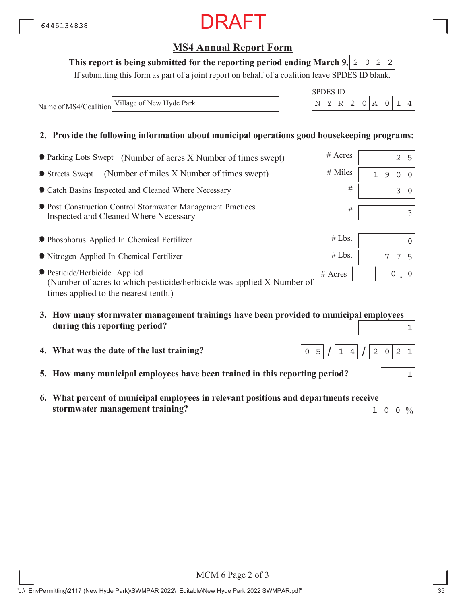# **MS4 Annual Report Form**

#### This report is being submitted for the reporting period ending March 9,  $\mid 2 \mid 0 \mid 2 \mid 2$

If submitting this form as part of a joint report on behalf of a coalition leave SPDES ID blank.

SPDES ID

Name of MS4/Coalition Village of New Hyde Park  $N$  N  $\left| N \right| X \left| R \right| 2 \left| 0 \right| A \left| 0 \right| 1 \left| 4 \right|$ 

#### **2. Provide the following information about municipal operations good housekeeping programs:**

| • Parking Lots Swept (Number of acres X Number of times swept)                                                                                 | $#$ Acres |              |   | $\overline{2}$ | 5        |
|------------------------------------------------------------------------------------------------------------------------------------------------|-----------|--------------|---|----------------|----------|
| (Number of miles X Number of times swept)<br>● Streets Swept                                                                                   | $#$ Miles | $\mathbf{1}$ | 9 | $\Omega$       | $\Omega$ |
| Catch Basins Inspected and Cleaned Where Necessary                                                                                             | #         |              |   | 3              | $\Omega$ |
| <b>• Post Construction Control Stormwater Management Practices</b><br>Inspected and Cleaned Where Necessary                                    | #         |              |   |                | 3        |
| <b>• Phosphorus Applied In Chemical Fertilizer</b>                                                                                             | #Lbs.     |              |   |                | $\Omega$ |
| • Nitrogen Applied In Chemical Fertilizer                                                                                                      | #Lbs.     |              | 7 | 7              | 5        |
| ● Pesticide/Herbicide Applied<br>(Number of acres to which pesticide/herbicide was applied X Number of<br>times applied to the nearest tenth.) | $#$ Acres |              | 0 |                | $\Omega$ |
|                                                                                                                                                |           |              |   |                |          |

- **3. How many stormwater management trainings have been provided to municipal employees during this reporting period?**
- **4. What was the date of the last training?**
- **5. How many municipal employees have been trained in this reporting period?**
- **6. What percent of municipal employees in relevant positions and departments receive stormwater management training?**

1





 $\frac{0}{0}$  $1|0|0|$ 

MCM 6 Page 2 of 3